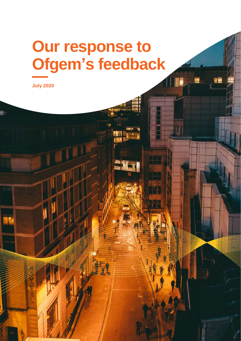# **Our response to Ofgem's feedback**

gē

**Error! Use the Home tab to apply Cover to the text that you want to appear here.** 1

**July 2020**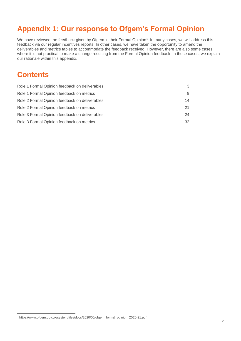# **Appendix 1: Our response to Ofgem's Formal Opinion**

We have reviewed the feedback given by Ofgem in their Formal Opinion<sup>1</sup>. In many cases, we will address this feedback via our regular incentives reports. In other cases, we have taken the opportunity to amend the deliverables and metrics tables to accommodate the feedback received. However, there are also some cases where it is not practical to make a change resulting from the Formal Opinion feedback: in these cases, we explain our rationale within this appendix.

## **Contents**

l

| Role 1 Formal Opinion feedback on deliverables | 3  |
|------------------------------------------------|----|
| Role 1 Formal Opinion feedback on metrics      | 9  |
| Role 2 Formal Opinion feedback on deliverables | 14 |
| Role 2 Formal Opinion feedback on metrics      | 21 |
| Role 3 Formal Opinion feedback on deliverables | 24 |
| Role 3 Formal Opinion feedback on metrics      | 32 |

<sup>1</sup> [https://www.ofgem.gov.uk/system/files/docs/2020/05/ofgem\\_formal\\_opinion\\_2020-21.pdf](https://www.ofgem.gov.uk/system/files/docs/2020/05/ofgem_formal_opinion_2020-21.pdf)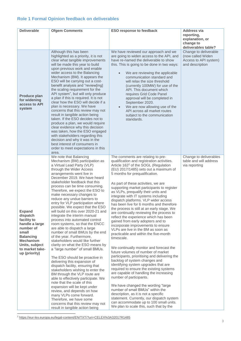## <span id="page-2-0"></span>**Role 1 Formal Opinion feedback on deliverables**

| <b>Deliverable</b>                                                                                                                                                             | <b>Ofgem Comments</b>                                                                                                                                                                                                                                                                                                                                                                                                                                                                                                                                                                                                                                                                                                                                                                                                                                                                                                                                                                                                                                                                                                                                                                                                           | <b>ESO response to feedback</b>                                                                                                                                                                                                                                                                                                                                                                                                                                                                                                                                                                                                                                                                                                                                                                                                                                                                                                                                                                                                                                                                                                                                                                                                                                                                                                                                 | <b>Address via</b><br>reporting,<br>explanation, or<br>change to<br>deliverables table? |
|--------------------------------------------------------------------------------------------------------------------------------------------------------------------------------|---------------------------------------------------------------------------------------------------------------------------------------------------------------------------------------------------------------------------------------------------------------------------------------------------------------------------------------------------------------------------------------------------------------------------------------------------------------------------------------------------------------------------------------------------------------------------------------------------------------------------------------------------------------------------------------------------------------------------------------------------------------------------------------------------------------------------------------------------------------------------------------------------------------------------------------------------------------------------------------------------------------------------------------------------------------------------------------------------------------------------------------------------------------------------------------------------------------------------------|-----------------------------------------------------------------------------------------------------------------------------------------------------------------------------------------------------------------------------------------------------------------------------------------------------------------------------------------------------------------------------------------------------------------------------------------------------------------------------------------------------------------------------------------------------------------------------------------------------------------------------------------------------------------------------------------------------------------------------------------------------------------------------------------------------------------------------------------------------------------------------------------------------------------------------------------------------------------------------------------------------------------------------------------------------------------------------------------------------------------------------------------------------------------------------------------------------------------------------------------------------------------------------------------------------------------------------------------------------------------|-----------------------------------------------------------------------------------------|
| Produce plan<br>for widening<br>access to API<br>system                                                                                                                        | Although this has been<br>highlighted as a priority, it is not<br>clear what tangible improvements<br>will be made this year to build<br>upon previous work and enable<br>wider access to the Balancing<br>Mechanism (BM). It appears the<br>ESO will be carrying out a cost-<br>benefit analysis and "review[ing]<br>the scaling requirement for the<br>API system", but will only produce<br>a plan if this is required. It is not<br>clear how the ESO will decide if a<br>plan is necessary. We have<br>concerns that this review may not<br>result in tangible action being<br>taken. If the ESO decides not to<br>produce a plan, we would require<br>clear evidence why this decision<br>was taken, how the ESO engaged<br>with stakeholders regarding this<br>decision and why it was in the<br>best interest of consumers in<br>order to meet expectations in this<br>area.                                                                                                                                                                                                                                                                                                                                            | We have reviewed our approach and we<br>are going to widen access to the API, and<br>have re-named the deliverable to show<br>this. This is going to be done in two ways:<br>We are reviewing the applicable<br>communication standard and<br>will relax the size threshold<br>(currently 100MW) for use of the<br>API. This document which<br>requires Grid Code Panel<br>approval will be completed in<br>September 2020.<br>We are now allowing use of the<br>API across all market routes<br>subject to the communication<br>standards.                                                                                                                                                                                                                                                                                                                                                                                                                                                                                                                                                                                                                                                                                                                                                                                                                     | Change to deliverable<br>(now called Widen<br>Access to API system)<br>and description  |
| <b>Expand</b><br>dispatch<br>facility to<br>handle a large<br>number of<br>small<br><b>Balancing</b><br><b>Mechanism</b><br>Units, subject<br>to market take-<br>up (priority) | We note that Balancing<br>Mechanism (BM) participation as<br>a Virtual Lead Party (VLP)<br>through the Wider Access<br>arrangements went live in<br>December 2019. We have heard<br>stakeholder feedback that this<br>process can be time consuming.<br>Therefore, we expect the ESO to<br>make necessary changes to<br>reduce any undue barriers to<br>entry for VLP participation where<br>possible. We expect that the ESO<br>will build on this over 2020-21 and<br>integrate the interim manual<br>process into automated control<br>room systems, so that the ENCC<br>are able to dispatch a large<br>number of small BMUs by the end<br>of the year. Furthermore,<br>stakeholders would like further<br>clarity on what the ESO means by<br>a "large number" of small BMUs.<br>The ESO should be proactive in<br>delivering this expansion of<br>dispatch facility, ensuring that<br>stakeholders wishing to enter the<br>BM through the VLP route are<br>able to effectively participate. We<br>note that the scale of this<br>expansion will be kept under<br>review, and depends on how<br>many VLPs come forward.<br>Therefore, we have some<br>concerns that this review may not<br>result in tangible action being | The comments are relating to pre-<br>qualification and registration activities.<br>Article 162 <sup>2</sup> of the SOGL (Regulation<br>(EU) 2017/1485) sets out a maximum of<br>5 months for prequalification.<br>As part of these activities, we are<br>supporting market participants to register<br>as VLPs, prequalify their units and<br>integrate with IT systems including<br>dispatch platforms. VLP wider access<br>has been live for 6 months and therefore<br>the process is still at an early stage. We<br>are continually reviewing the process to<br>reflect the experience which has been<br>gained from early adopters and to<br>incorporate improvements to ensure<br>VLPs are live in the BM as soon as<br>practicable and within the five-month<br>timescale.<br>We continually monitor and forecast the<br>future volumes of number of market<br>participants, prioritising and delivering the<br>backlog of system changes and<br>identifying system upgrades that are<br>required to ensure the existing systems<br>are capable of handling the increasing<br>number of participants.<br>We have changed the wording "large<br>number of small BMUs" within the<br>description, as it is not a specific<br>statement. Currently, our dispatch system<br>can accommodate up to 100 small units.<br>We plan to scale this, such that by the | Change to deliverables<br>table and will address<br>via reporting                       |

<sup>2</sup> https://eur-lex.europa.eu/legal-content/EN/TXT/?uri=CELEX%3A32017R1485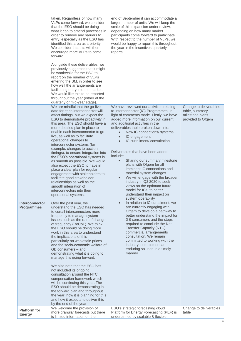|                                            | taken. Regardless of how many<br>VLPs come forward, we consider<br>that the ESO should be doing<br>what it can to amend processes in<br>order to remove any barriers to<br>entry, especially as the ESO has<br>identified this area as a priority.<br>We consider that this will then<br>encourage more VLPs to come<br>forward.<br>Alongside these deliverables, we<br>previously suggested that it might<br>be worthwhile for the ESO to<br>report on the number of VLPs<br>entering the BM, in order to see<br>how well the arrangements are<br>facilitating entry into the market.<br>We would like this to be reported<br>throughout the year (either at the<br>quarterly or mid-year stage).                                                                                                                                                                                                                                                                                                                                                                                                                                                                                                                                                                                                                                                                                                                                                                                                                                                                            | end of September it can accommodate a<br>larger number of units. We will keep the<br>scale of this expansion under review,<br>depending on how many market<br>participants come forward to participate.<br>With respect to the number of VLPs, we<br>would be happy to report this throughout<br>the year in the incentives quarterly<br>reports.                                                                                                                                                                                                                                                                                                                                                                                                                                                                                                                                                                                                                                                                                                                                                                                           |                                                                                  |
|--------------------------------------------|-------------------------------------------------------------------------------------------------------------------------------------------------------------------------------------------------------------------------------------------------------------------------------------------------------------------------------------------------------------------------------------------------------------------------------------------------------------------------------------------------------------------------------------------------------------------------------------------------------------------------------------------------------------------------------------------------------------------------------------------------------------------------------------------------------------------------------------------------------------------------------------------------------------------------------------------------------------------------------------------------------------------------------------------------------------------------------------------------------------------------------------------------------------------------------------------------------------------------------------------------------------------------------------------------------------------------------------------------------------------------------------------------------------------------------------------------------------------------------------------------------------------------------------------------------------------------------|---------------------------------------------------------------------------------------------------------------------------------------------------------------------------------------------------------------------------------------------------------------------------------------------------------------------------------------------------------------------------------------------------------------------------------------------------------------------------------------------------------------------------------------------------------------------------------------------------------------------------------------------------------------------------------------------------------------------------------------------------------------------------------------------------------------------------------------------------------------------------------------------------------------------------------------------------------------------------------------------------------------------------------------------------------------------------------------------------------------------------------------------|----------------------------------------------------------------------------------|
| <b>Interconnector</b><br><b>Programmes</b> | We are mindful that the go-live<br>date for each interconnector will<br>affect timings, but we expect the<br>ESO to demonstrate proactivity in<br>this area. The ESO should have a<br>more detailed plan in place to<br>enable each interconnector to go<br>live, as well as to facilitate<br>operational changes to<br>interconnector systems (for<br>example, changes to auction<br>timings), to ensure integration into<br>the ESO's operational systems is<br>as smooth as possible. We would<br>also expect the ESO to have in<br>place a clear plan for regular<br>engagement with stakeholders to<br>facilitate good stakeholder<br>relationships as well as the<br>smooth integration of<br>interconnectors into their<br>operational systems.<br>Over the past year, we<br>understand the ESO has needed<br>to curtail interconnectors more<br>frequently to manage system<br>issues such as the rate of change<br>of frequency (RoCoF). We think<br>the ESO should be doing more<br>work in this area to understand<br>the implications of this -<br>particularly on wholesale prices<br>and the socio-economic welfare of<br>GB consumers - and<br>demonstrating what it is doing to<br>manage this going forward.<br>We also note that the ESO has<br>not included its ongoing<br>consultation around the NTC<br>compensation framework which<br>will be continuing this year. The<br>ESO should be demonstrating in<br>the forward plan and throughout<br>the year, how it is planning for this<br>and how it expects to deliver this<br>by the end of the year. | We have reviewed our activities relating<br>to Interconnector (IC) Programmes, in<br>light of comments made. Firstly, we have<br>added more information on our current<br>and additional activities in the<br>deliverables table broken down into:<br>New IC connections/ systems<br>IC engagement<br>$\bullet$<br>IC curtailment/ consultation<br>$\bullet$<br>Deliverables that have been added<br>include:<br>Sharing our summary milestone<br>$\bullet$<br>plans with Ofgem for all<br>imminent IC connections and<br>material system changes.<br>We will engage with the broader<br>industry in Q2 2020 to seek<br>views on the optimum future<br>model for ICs, to better<br>understand their impact on<br>system operability<br>In relation to IC curtailment, we<br>are currently engaging with<br>Ofgem to develop a pathway to<br>better understand the impact for<br>GB consumers and the steps<br>required to conclude the Net<br><b>Transfer Capacity (NTC)</b><br>commercial arrangements<br>consultation. We remain<br>committed to working with the<br>industry to implement an<br>enduring solution in a timely<br>manner. | Change to deliverables<br>table, summary<br>milestone plans<br>provided to Ofgem |
| <b>Platform for</b><br><b>Energy</b>       | We welcome the provision of<br>more granular forecasts but there<br>is limited information on the                                                                                                                                                                                                                                                                                                                                                                                                                                                                                                                                                                                                                                                                                                                                                                                                                                                                                                                                                                                                                                                                                                                                                                                                                                                                                                                                                                                                                                                                             | ESO's strategic forecasting cloud<br>Platform for Energy Forecasting (PEF) is<br>underpinned by scalable & flexible                                                                                                                                                                                                                                                                                                                                                                                                                                                                                                                                                                                                                                                                                                                                                                                                                                                                                                                                                                                                                         | Change to deliverables<br>table                                                  |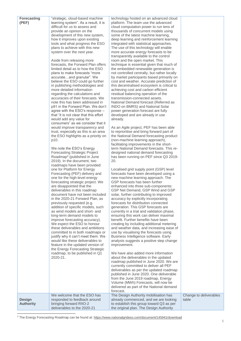| <b>Forecasting</b><br>(PEF)       | "strategic, cloud-based machine<br>learning system". As a result, it is<br>difficult for us to assess and<br>provide an opinion on the<br>development of this new system,<br>how it improves upon existing<br>tools and what progress the ESO<br>plans to achieve with this new<br>system over the next year.<br>Aside from releasing more<br>forecasts, the Forward Plan offers<br>limited detail as to how the ESO<br>plans to make forecasts "more<br>accurateand granular". We<br>believe the ESO could go further<br>in publishing methodologies and<br>more detailed information<br>regarding the calculations and<br>accuracies of their forecasts. We<br>note this has been addressed in<br>p91 in the Forward Plan. We don't<br>agree with the ESO's response -<br>that "it is not clear that this effort<br>would add any value for<br>consumers" as we consider that it<br>would improve transparency and<br>trust, especially as this is an area<br>the ESO highlights as a priority on<br>p10.<br>We note the ESO's Energy<br><b>Forecasting Strategic Project</b><br>Roadmap <sup>3</sup> (published in June<br>2019). In the document, two<br>roadmaps have been provided:<br>one for Platform for Energy<br>Forecasting (PEF) delivery and<br>one for the high-level energy<br>forecasting strategic project. We<br>are disappointed that the<br>deliverables in this roadmap<br>document have not been included<br>in the 2020-21 Forward Plan, as<br>previously requested (e.g.<br>addition of specific models, such<br>as wind models and short- and<br>long-term demand models to<br>improve forecasting accuracy).<br>We expect the ESO to honour<br>these deliverables and ambitions<br>committed to in both roadmaps or<br>justify why it can't meet them. We<br>would like these deliverables to<br>feature in the updated version of<br>the Energy Forecasting Strategic<br>roadmap, to be published in Q1<br>2020-21. | technology hosted on an advanced cloud<br>platform. The team use the advanced<br>cloud computation power to run tens of<br>thousands of concurrent models using<br>some of the latest machine learning,<br>deep learning and reinforcement learning<br>integrated with statistical approaches.<br>The use of this technology will enable<br>more accurate energy forecasts to be<br>transparently available to the control<br>room and the open market. This<br>technique is essential given that much of<br>the embedded renewable generation is<br>not controlled centrally, but rather locally<br>by market participants based primarily on<br>cost and weather. Accurate prediction of<br>this decentralised ecosystem is critical to<br>achieving cost and carbon efficient<br>residual balancing operation of the<br>transmission-connected assets.<br>National Demand forecast (Referred as<br>INDO on BMRS) and National Solar<br>power generation forecast are fully<br>developed and are already in use<br>already.<br>As an Agile project, PEF has been able<br>to reprioritise and bring forward part of<br>the National Demand forecasting product<br>(non-machine learning approach),<br>facilitating improvements in the short-<br>term National Demand forecasts. This re-<br>designed national demand forecasting<br>has been running on PEF since Q3 2019-<br>20.<br>Localised grid supply point (GSP) level<br>forecasts have been developed using a<br>new machine learning approach. The<br>GSP forecasts has been further<br>enhanced into three sub-components:<br>GSP Net Demand, GSP Wind and GSP<br>solar, further contributing to improved<br>accuracy by explicitly incorporating<br>forecasts for distribution connected<br>generation. This GSP forecasts are<br>currently in a trial and validation phase,<br>ensuring this work can deliver maximal<br>benefit. Further benefits have been<br>creating by including additional metering<br>and weather data, and increasing ease of<br>use by visualising the forecasts using<br>Business Intelligence software. Early<br>analysis suggests a positive step change<br>improvement.<br>We have also added more information<br>about the deliverables in the updated<br>roadmap published in June 2020. We are<br>currently committed to deliver all PEF<br>deliverables as per the updated roadmap<br>published in June 2020. One deliverable<br>from the June 2019 roadmap, Energy<br>Volume (MWh) Forecasts, will now be<br>delivered as part of the National demand |                                 |
|-----------------------------------|-------------------------------------------------------------------------------------------------------------------------------------------------------------------------------------------------------------------------------------------------------------------------------------------------------------------------------------------------------------------------------------------------------------------------------------------------------------------------------------------------------------------------------------------------------------------------------------------------------------------------------------------------------------------------------------------------------------------------------------------------------------------------------------------------------------------------------------------------------------------------------------------------------------------------------------------------------------------------------------------------------------------------------------------------------------------------------------------------------------------------------------------------------------------------------------------------------------------------------------------------------------------------------------------------------------------------------------------------------------------------------------------------------------------------------------------------------------------------------------------------------------------------------------------------------------------------------------------------------------------------------------------------------------------------------------------------------------------------------------------------------------------------------------------------------------------------------------------------------------------------------------------------------------------------------------------------|-------------------------------------------------------------------------------------------------------------------------------------------------------------------------------------------------------------------------------------------------------------------------------------------------------------------------------------------------------------------------------------------------------------------------------------------------------------------------------------------------------------------------------------------------------------------------------------------------------------------------------------------------------------------------------------------------------------------------------------------------------------------------------------------------------------------------------------------------------------------------------------------------------------------------------------------------------------------------------------------------------------------------------------------------------------------------------------------------------------------------------------------------------------------------------------------------------------------------------------------------------------------------------------------------------------------------------------------------------------------------------------------------------------------------------------------------------------------------------------------------------------------------------------------------------------------------------------------------------------------------------------------------------------------------------------------------------------------------------------------------------------------------------------------------------------------------------------------------------------------------------------------------------------------------------------------------------------------------------------------------------------------------------------------------------------------------------------------------------------------------------------------------------------------------------------------------------------------------------------------------------------------------------------------------------------------------------------------------------------------------------------------------------------------------------------------------------------------------------------------------------------------------------------------------------|---------------------------------|
| <b>Design</b><br><b>Authority</b> | We welcome that the ESO has<br>responded to feedback around<br>bringing forward RIIO-2<br>deliverables to the 2020-21                                                                                                                                                                                                                                                                                                                                                                                                                                                                                                                                                                                                                                                                                                                                                                                                                                                                                                                                                                                                                                                                                                                                                                                                                                                                                                                                                                                                                                                                                                                                                                                                                                                                                                                                                                                                                           | forecast.<br>The Design Authority mobilisation has<br>already commenced, and we are looking<br>to establish this group toward Q3 as per<br>the original plan. The Design Authority                                                                                                                                                                                                                                                                                                                                                                                                                                                                                                                                                                                                                                                                                                                                                                                                                                                                                                                                                                                                                                                                                                                                                                                                                                                                                                                                                                                                                                                                                                                                                                                                                                                                                                                                                                                                                                                                                                                                                                                                                                                                                                                                                                                                                                                                                                                                                                    | Change to deliverables<br>table |

<sup>3</sup> The Energy Forecasting Roadmap can be found at[: https://www.nationalgrideso.com/document/145941/download](https://www.nationalgrideso.com/document/145941/download)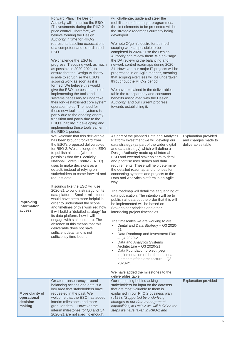|                                                      | Forward Plan. The Design<br>Authority will scrutinise the ESO's<br>IT investments during the RIIO-2<br>price control. Therefore, we<br>believe forming the Design<br>Authority in time for RIIO-2<br>represents baseline expectations<br>of a competent and co-ordinated<br>ESO.<br>We challenge the ESO to<br>progress IT scoping work as much<br>as possible in 2020-2021, to<br>ensure that the Design Authority<br>is able to scrutinise the ESO's<br>scoping work as soon as it is<br>formed. We believe this would<br>give the ESO the best chance of<br>implementing the tools and<br>systems necessary to undertake<br>their long-established core system<br>operation roles. The need for<br>these new tools and systems is<br>partly due to the ongoing energy<br>transition and partly due to the<br>ESO's inability in developing and<br>implementing these tools earlier in<br>the RIIO-1 period. | will challenge, guide and steer the<br>mobilisation of the major programmes,<br>the first elements to be presented will be<br>the strategic roadmaps currently being<br>developed.<br>We note Ofgem's desire for as much<br>scoping work as possible to be<br>completed in 2020-21 so the Design<br>Authority can review them. We envisage<br>the DA reviewing the balancing and<br>network control roadmaps during 2020-<br>21. However, our major IT projects will be<br>progressed in an Agile manner, meaning<br>that scoping exercises will be undertaken<br>throughout the RIIO-2 period.<br>We have explained in the deliverables<br>table the transparency and consumer<br>benefits associated with the Design<br>Authority, and our current progress<br>towards establishing it.                                                                                                                                                                                                                                                                                                                                                                                                           |                                                                          |
|------------------------------------------------------|----------------------------------------------------------------------------------------------------------------------------------------------------------------------------------------------------------------------------------------------------------------------------------------------------------------------------------------------------------------------------------------------------------------------------------------------------------------------------------------------------------------------------------------------------------------------------------------------------------------------------------------------------------------------------------------------------------------------------------------------------------------------------------------------------------------------------------------------------------------------------------------------------------------|-----------------------------------------------------------------------------------------------------------------------------------------------------------------------------------------------------------------------------------------------------------------------------------------------------------------------------------------------------------------------------------------------------------------------------------------------------------------------------------------------------------------------------------------------------------------------------------------------------------------------------------------------------------------------------------------------------------------------------------------------------------------------------------------------------------------------------------------------------------------------------------------------------------------------------------------------------------------------------------------------------------------------------------------------------------------------------------------------------------------------------------------------------------------------------------------------------|--------------------------------------------------------------------------|
| Improving<br>information<br>access                   | We welcome that this deliverable<br>has been brought forward from<br>the ESO's proposed deliverables<br>for RIIO-2. We challenge the ESO<br>to publish all data (where<br>possible) that the Electricity<br>National Control Centre (ENCC)<br>uses to make decisions as a<br>default, instead of relying on<br>stakeholders to come forward and<br>request data<br>It sounds like the ESO will use<br>2020-21 to build a strategy for its<br>data platform. Smaller milestones<br>would have been more helpful in<br>order to understand the scope<br>and timelines of this work (eg how<br>it will build a "detailed strategy" for<br>its data platform, how it will<br>engage with stakeholders). The<br>absence of this means that this<br>deliverable does not have<br>sufficient detail and is not<br>sufficiently time-bound.                                                                            | As part of the planned Data and Analytics<br>Platform Investment we will develop our<br>data strategy (as part of the wider digital<br>and data strategy) which will define a<br>Design Authority made up of internal<br>ESO and external stakeholders to detail<br>and prioritise user stories and data<br>requirements. These will help determine<br>the detailed roadmap and priorities for<br>connecting systems and projects to the<br>Data and Analytics platform in an Agile<br>way.<br>The roadmap will detail the sequencing of<br>data publication. The intention will be to<br>publish all data but the order that this will<br>be implemented will be based on<br>Stakeholder priorities and other<br>interfacing project timescales.<br>The timescales we are working to are:<br>Digital and Data Strategy - Q3 2020-<br>$\bullet$<br>21<br>Data Roadmap and Investment Plan<br>$\bullet$<br>$-$ Q4 2020-21<br>Data and Analytics Systems<br>$\bullet$<br>Architecture - Q3 2020-21<br>$\bullet$<br>Data Foundation project (begin<br>implementation of the foundational<br>elements of the architecture - Q3<br>2020-21<br>We have added the milestones to the<br>deliverables table. | <b>Explanation provided</b><br>and changes made to<br>deliverables table |
| More clarity of<br>operational<br>decision<br>making | Greater transparency around<br>balancing actions and data is a<br>key area that stakeholders have<br>requested in the past. We<br>welcome that the ESO has added<br>interim milestones and more<br>granular detail. However the<br>interim milestones for Q3 and Q4<br>2020-21 are not specific enough.                                                                                                                                                                                                                                                                                                                                                                                                                                                                                                                                                                                                        | Our reasoning behind asking<br>stakeholders for input on the datasets<br>that are most valuable to them is<br>explained in our RIIO 2 business plan<br>(p123): "Supported by underlying<br>changes to our data management<br>capabilities, in RIIO-2 we will build on the<br>steps we have taken in RIIO-1 and                                                                                                                                                                                                                                                                                                                                                                                                                                                                                                                                                                                                                                                                                                                                                                                                                                                                                      | <b>Explanation provided</b>                                              |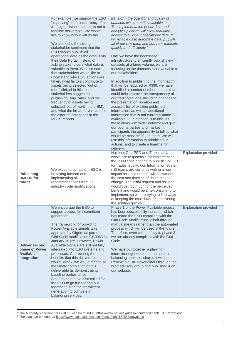|                                                                            | For example, we support the ESO<br>"improving" the transparency of its<br>trading decisions, but this is not a<br>tangible deliverable. We would<br>like to know how it will do this.<br>We also echo the strong<br>stakeholder sentiment that the<br>ESO should publish all<br>operational data as the default via<br>their Data Portal, instead of<br>asking stakeholders what data is<br>valuable to them. We also note<br>that stakeholders would like to<br>understand why ESO actions are<br>taken, what factors contribute to<br>assets being selected 'out of<br>merit' (linked to this, some<br>stakeholders suggested<br>publishing 'skip' rates' and the<br>frequency of assets being<br>selected 'out of merit' in the BM),<br>and what the broad drivers are for<br>the different categories in the<br>MBSS reports. | transform the quantity and quality of<br>datasets we can make available.<br>The implementation of our data and<br>analytics platform will allow real-time<br>access to all of our operational data. It<br>will enable us to automate data, publish<br>all of our raw data, and add new datasets<br>quickly and efficiently."<br>Until we have the necessary<br>infrastructure to efficiently publish new<br>datasets at a large volume, we are<br>focusing on the datasets most valuable to<br>our stakeholders.<br>In addition to publishing the information<br>that will be required by P399, we have<br>identified a number of other options that<br>could help improve the transparency of<br>our trading actions, including changes to<br>the presentation, location and<br>accessibility of existing published<br>information, as well as additional<br>information that is not currently made<br>available. Our intention is to discuss<br>these ideas with wider industry and give<br>our counterparties and market<br>participants the opportunity to tell us what<br>would be most helpful to them. We will<br>use this information to prioritise our<br>actions, and to create a timeline for<br>delivery. |                             |
|----------------------------------------------------------------------------|-----------------------------------------------------------------------------------------------------------------------------------------------------------------------------------------------------------------------------------------------------------------------------------------------------------------------------------------------------------------------------------------------------------------------------------------------------------------------------------------------------------------------------------------------------------------------------------------------------------------------------------------------------------------------------------------------------------------------------------------------------------------------------------------------------------------------------------|-----------------------------------------------------------------------------------------------------------------------------------------------------------------------------------------------------------------------------------------------------------------------------------------------------------------------------------------------------------------------------------------------------------------------------------------------------------------------------------------------------------------------------------------------------------------------------------------------------------------------------------------------------------------------------------------------------------------------------------------------------------------------------------------------------------------------------------------------------------------------------------------------------------------------------------------------------------------------------------------------------------------------------------------------------------------------------------------------------------------------------------------------------------------------------------------------------------------------|-----------------------------|
| <b>Publishing</b><br><b>BMU ID for</b><br>trades                           | We expect a competent ESO to<br>be taking forward and<br>implementing all<br>recommendations from all<br>industry code modifications.                                                                                                                                                                                                                                                                                                                                                                                                                                                                                                                                                                                                                                                                                             | National Grid ESO and Elexon as a<br>whole are responsible for implementing<br>the P399 code change to publish BMU ID<br>for trades legally. Our Information System<br>(IS) teams are currently writing a new<br>impact assessment that will showcase<br>the cost and timeline of doing the IS<br>change. The initial request and solution<br>would cost too much for the perceived<br>benefit and would be time-consuming to<br>implement, so we are trying to find ways<br>of keeping the cost down and delivering<br>the solution quickly.                                                                                                                                                                                                                                                                                                                                                                                                                                                                                                                                                                                                                                                                         | <b>Explanation provided</b> |
| <b>Deliver second</b><br>phase of Power<br><b>Available</b><br>integration | We encourage the ESO to<br>support access for intermittent<br>generation.<br>The framework for providing<br>Power Available signals was<br>approved by Ofgem as part of<br>Grid Code modification GC0063 in<br>January 2015 <sup>4</sup> . However, Power<br>Available signals are still not fully<br>integrated into ESO systems and<br>processes. Considering the<br>benefits that this deliverable<br>would unlock, we would recognise<br>the timely completion of this<br>deliverable as demonstrating<br>baseline performance.<br>Stakeholders have also called for<br>the ESO to go further and put<br>together a plan for intermittent<br>generation to compete in<br>balancing services.                                                                                                                                  | Phase 1 of the Power Available project<br>has been successfully launched which<br>has made the ESO compliant with the<br>Grid Code Modification, albeit through<br>manual means rather than the automated<br>process which will be used in the future.<br>Therefore, even with a delay to phase 2,<br>we are already compliant with the Grid<br>Code.<br>We have put together a plan <sup>5</sup> for<br>intermittent generation to compete in<br>balancing services, shared it with<br>Renewable UK stakeholders through the<br>wind advisory group and published it on<br>our website.                                                                                                                                                                                                                                                                                                                                                                                                                                                                                                                                                                                                                              | <b>Explanation provided</b> |

l <sup>4</sup> The Authority's decision for GC0063 can be found at:<https://www.nationalgrideso.com/document/13411/download>

<sup>&</sup>lt;sup>5</sup> The plan can be found a[t https://www.nationalgrideso.com/document/167886/download](https://www.nationalgrideso.com/document/167886/download)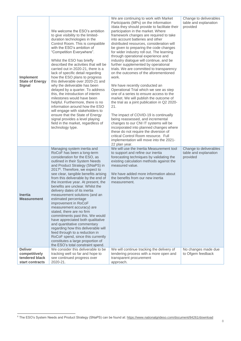| <b>Implement</b><br><b>State of Energy</b><br><b>Signal</b>          | We welcome the ESO's ambition<br>to give visibility to the limited-<br>duration technologies in the<br>Control Room. This is compatible<br>with the ESO's ambition of<br>"Competition Everywhere".<br>Whilst the ESO has briefly<br>described the activities that will be<br>carried out in 2020-21, there is a<br>lack of specific detail regarding<br>how the ESO plans to progress<br>this deliverable over 2020-21 and<br>why the deliverable has been<br>delayed by a quarter. To address<br>this, the introduction of interim<br>milestones would have been<br>helpful. Furthermore, there is no<br>information around how the ESO<br>will engage with stakeholders to<br>ensure that the State of Energy<br>signal provides a level playing<br>field in the market, regardless of<br>technology type.                                        | We are continuing to work with Market<br>Participants (MPs) on the information<br>/data they should provide to facilitate their<br>participation in the market. Where<br>framework changes are required to take<br>into account batteries and other<br>distributed resources, consideration will<br>be given to preparing the code changes<br>for wider industry roll out. The learning<br>through operational experience and<br>industry dialogue will continue, and be<br>further supplemented by operational<br>trials. We are committed to transparency<br>on the outcomes of the aforementioned<br>work.<br>We have recently conducted an<br>Operational Trial which we see as step<br>one of a series to ensure access to the<br>market. We will publish the outcome of<br>the trial as a joint publication in Q2 2020-<br>21.<br>The impact of COVID-19 is continually<br>being reassessed, and incremental<br>changes to our CNI IT systems will be<br>incorporated into planned changes where<br>these do not require the diversion of<br>critical Control Room resource. Full<br>implementation will move into the 2021-<br>22 plan year. | Change to deliverables<br>table and explanation<br>provided |
|----------------------------------------------------------------------|-----------------------------------------------------------------------------------------------------------------------------------------------------------------------------------------------------------------------------------------------------------------------------------------------------------------------------------------------------------------------------------------------------------------------------------------------------------------------------------------------------------------------------------------------------------------------------------------------------------------------------------------------------------------------------------------------------------------------------------------------------------------------------------------------------------------------------------------------------|-----------------------------------------------------------------------------------------------------------------------------------------------------------------------------------------------------------------------------------------------------------------------------------------------------------------------------------------------------------------------------------------------------------------------------------------------------------------------------------------------------------------------------------------------------------------------------------------------------------------------------------------------------------------------------------------------------------------------------------------------------------------------------------------------------------------------------------------------------------------------------------------------------------------------------------------------------------------------------------------------------------------------------------------------------------------------------------------------------------------------------------------------------|-------------------------------------------------------------|
| <b>Inertia</b><br><b>Measurement</b>                                 | Managing system inertia and<br>RoCoF has been a long-term<br>consideration for the ESO, as<br>outlined in their System Needs<br>and Product Strategy (SNaPS) in<br>2017 <sup>6</sup> . Therefore, we expect to<br>see clear, tangible benefits arising<br>from this deliverable by the end of<br>the incentive year. At present, the<br>benefits are unclear. Whilst the<br>delivery dates of its inertia<br>measurement solutions (and an<br>estimated percentage<br>improvement in RoCoF<br>measurement accuracy) are<br>stated, there are no firm<br>commitments past this. We would<br>have appreciated both qualitative<br>and quantitative commentary<br>regarding how this deliverable will<br>feed through to a reduction in<br>RoCoF spend, since this currently<br>constitutes a large proportion of<br>the ESO's total constraint spend. | We will use the Inertia Measurement tool<br>to support and refine our inertia<br>forecasting techniques by validating the<br>existing calculation methods against the<br>measured value.<br>We have added more information about<br>the benefits from our new inertia<br>measurement.                                                                                                                                                                                                                                                                                                                                                                                                                                                                                                                                                                                                                                                                                                                                                                                                                                                               | Change to deliverables<br>table and explanation<br>provided |
| <b>Deliver</b><br>competitively<br>tendered black<br>start contracts | We consider this deliverable to be<br>tracking well so far and hope to<br>see continued progress over<br>2020-21.                                                                                                                                                                                                                                                                                                                                                                                                                                                                                                                                                                                                                                                                                                                                   | We will continue tracking the delivery of<br>tendering process with a more open and<br>transparent procurement<br>approach.                                                                                                                                                                                                                                                                                                                                                                                                                                                                                                                                                                                                                                                                                                                                                                                                                                                                                                                                                                                                                         | No changes made due<br>to Ofgem feedback                    |

l

<sup>&</sup>lt;sup>6</sup> The ESO's System Needs and Product Strategy (SNaPS) can be found at: <u>https://www.nationalgrideso.com/document/84261/download</u>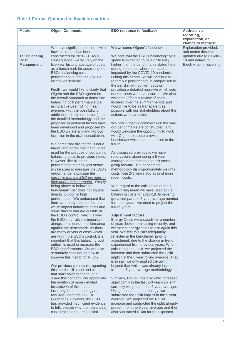## <span id="page-8-0"></span>**Role 1 Formal Opinion feedback on metrics**

| <b>Metric</b>     | <b>Ofgem Comments</b>                                                        | <b>ESO response to feedback</b>                                                           | <b>Address via</b>                              |
|-------------------|------------------------------------------------------------------------------|-------------------------------------------------------------------------------------------|-------------------------------------------------|
|                   |                                                                              |                                                                                           | reporting,<br>explanation, or                   |
|                   |                                                                              |                                                                                           | change to metrics?                              |
|                   | We have significant concerns with                                            | We welcome Ofgem's feedback.                                                              | Explanation provided,                           |
| 1a: Balancing     | how this metric has been<br>constructed for 2020-21. As a                    | We note that the ESO's balancing costs                                                    | and metric description<br>updated due to COVID- |
| Cost              | consequence, we will rely on the                                             | spend is expected to be significantly                                                     | 19 and delays to                                |
| <b>Management</b> | five-year historic average of costs                                          | higher than the benchmarks stated here                                                    | Eleclink commissioning                          |
|                   | as a benchmark for assessing the<br>ESO's balancing costs                    | during the period where demand is<br>impacted by the COVID-19 pandemic.                   |                                                 |
|                   | performance during the 2020-21                                               | During this period, we will continue to                                                   |                                                 |
|                   | incentives scheme.                                                           | report our performance in comparison to                                                   |                                                 |
|                   | Firstly, we would like to clarify that                                       | the benchmark, but will focus on<br>providing a detailed narrative which sets             |                                                 |
|                   | Ofgem and the ESO agreed on                                                  | out the costs we have incurred. We also                                                   |                                                 |
|                   | the overall approach to determine                                            | welcome Ofgem's review of costs                                                           |                                                 |
|                   | balancing cost performance (i.e.<br>using a five-year rolling mean           | incurred over the summer period, and<br>would like to be as transparent as                |                                                 |
|                   | average, with the possibility of                                             | possible with our stakeholders about the                                                  |                                                 |
|                   | additional adjustment factors), but<br>the detailed methodology and the      | actions we have taken.                                                                    |                                                 |
|                   | proposed adjustment factors have                                             | We note Ofgem's comments on the way                                                       |                                                 |
|                   | been developed and proposed by                                               | our benchmarks are constructed, and                                                       |                                                 |
|                   | the ESO unilaterally and without<br>inclusion in the draft consultation.     | would welcome the opportunity to work<br>with Ofgem to create a revised                   |                                                 |
|                   |                                                                              | benchmark which can be applied in the                                                     |                                                 |
|                   | We agree that this metric is not a                                           | future.                                                                                   |                                                 |
|                   | target, and agree that it should be<br>used for the purpose of comparing     | As discussed previously, we have                                                          |                                                 |
|                   | balancing costs to previous years.                                           | reservations about using a 5 year                                                         |                                                 |
|                   | However, like all other                                                      | average to benchmark against costs<br>going forward. The benchmark                        |                                                 |
|                   | performance metrics, <i>this metric</i><br>will be used to measure the ESO's | methodology disproportionately weights                                                    |                                                 |
|                   | performance, alongside the                                                   | costs from 2-3 years ago against more                                                     |                                                 |
|                   | narrative that the ESO provides in<br>their performance reports. Simply      | recent costs.                                                                             |                                                 |
|                   | being above or below the                                                     | With regard to the calculation of the 5                                                   |                                                 |
|                   | benchmark cost does not equate<br>directly to poor or high                   | year rolling mean we have used actual<br>balancing costs for 2017-19. In order to         |                                                 |
|                   | performance. We understand that                                              | get a comparable 5-year average number                                                    |                                                 |
|                   | there are many different factors                                             | for these years, we need to project the                                                   |                                                 |
|                   | which impact balancing costs and<br>some drivers that are outside of         | future years.                                                                             |                                                 |
|                   | the ESO's control, which is why                                              | <b>Adjustment factors:</b>                                                                |                                                 |
|                   | the ESO's narrative is important                                             | Energy Costs were steady for a number                                                     |                                                 |
|                   | alongside its outturn performance<br>against the benchmark. As there         | of years before increasing recently, and<br>we expect energy costs to rise again this     |                                                 |
|                   | are many drivers of costs which                                              | year. We feel this isn't adequately                                                       |                                                 |
|                   | are within the ESO's control, it is<br>important that this balancing cost    | reflected in the benchmark prior to<br>adjustment, due to the change in trend             |                                                 |
|                   | outturn is used to measure the                                               | experienced from previous years. When                                                     |                                                 |
|                   | ESO's performance. We are also                                               | calculating the uplift, we projected the                                                  |                                                 |
|                   | separately considering how to<br>improve this metric for RIIO-2.             | increase and then subtracted the uplift<br>implicit in the 5 year rolling average. That   |                                                 |
|                   |                                                                              | is to say, we only applied the uplift                                                     |                                                 |
|                   | Our previous comments regarding<br>this metric still stand and we note       | beyond that which was already included                                                    |                                                 |
|                   | that stakeholders continue to                                                | from the 5 year average methodology.                                                      |                                                 |
|                   | share this concern. We appreciate                                            | Similarly, RoCoF has also only increased                                                  |                                                 |
|                   | the addition of more detailed<br>breakdown of this metric,                   | significantly in the last 2-3 years so isn't<br>correctly weighted in the 5 year average. |                                                 |
|                   | including the methodology (as                                                | Using the same methodology, we                                                            |                                                 |
|                   | required under the ESORI                                                     | subtracted the uplift implicit in the 5 year                                              |                                                 |
|                   | Guidance). However, the ESO<br>has provided insufficient evidence            | average. We projected the RoCoF<br>increase and subtracted the uplift already             |                                                 |
|                   | to fully explain why their balancing                                         | present from the 5 year average and then                                                  |                                                 |
|                   | cost benchmarks are justified.                                               | also subtracted £10m for the expected                                                     |                                                 |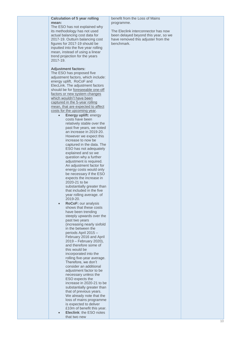## **Calculation of 5 year rolling mean:**

The ESO has not explained why its methodology has not used actual balancing cost data for 2017 -19. Outturn balancing cost figures for 2017 -19 should be inputted into the five year rolling mean, instead of using a linear trend projection for the years 2017 -19.

**Adjustment factors:**

The ESO has proposed five adjustment factors, which include: energy uplift, RoCoF and ElecLink. The adjustment factors should be for foreseeable one-off factors or new system changes which wouldn't have been captured in the 5 -year rolling mean, that are expected to affect costs for the upcoming year.

- **Energy uplift:** energy costs have been relatively stable over the past five years, we noted an increase in 2019 -20. However we expect this increase to now be captured in the data. The ESO has not adequately explained and so we question why a further adjustment is required. An adjustment factor for energy costs would only be necessary if the ESO expects the increase in 2020 -21 to be substantially greater than that included in the five year rolling average. of 2019 -20. • **RoCoF:** our analysis shows that these costs have been trending steeply upwards over the past two years (increasing nearly sixfold in the between the periods April 2015 – February 2016 and April 2019 – February 2020),
	- and therefore some of this would be incorporated into the rolling five -year average. Therefore, we don't consider an additional adjustment factor to be necessary *unless* the ESO expects the increase in 2020 -21 to be substantially greater than that of previous years. We already note that the loss of mains programme is expected to deliver £10m of benefit this year.

• **Eleclink**: the ESO notes that two new

## benefit from the Loss of Mains programme.

The Eleclink interconnector has now been delayed beyond this year , so we have removed this adjuster from the benchmark.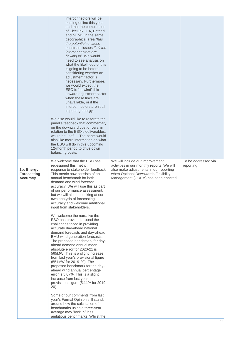|                                                     | interconnectors will be<br>coming online this year<br>and that the combination<br>of ElecLink, IFA, Britned<br>and NEMO in the same<br>geographical area "has<br>the potential to cause<br>constraint issues if all the<br>interconnectors are<br>flowing in". We would<br>need to see analysis on<br>what the likelihood of this<br>is going to be before<br>considering whether an<br>adjustment factor is<br>necessary. Furthermore,<br>we would expect the<br>ESO to "unwind" this<br>upward adjustment factor<br>when these links are<br>unavailable, or if the<br>interconnectors aren't all<br>importing energy.<br>We also would like to reiterate the<br>panel's feedback that commentary<br>on the downward cost drivers, in<br>relation to the ESO's deliverables.<br>would be useful. The panel would<br>also like more information on what<br>the ESO will do in this upcoming<br>12-month period to drive down<br>balancing costs. |                                                                                                                                                                                                       |                                  |
|-----------------------------------------------------|--------------------------------------------------------------------------------------------------------------------------------------------------------------------------------------------------------------------------------------------------------------------------------------------------------------------------------------------------------------------------------------------------------------------------------------------------------------------------------------------------------------------------------------------------------------------------------------------------------------------------------------------------------------------------------------------------------------------------------------------------------------------------------------------------------------------------------------------------------------------------------------------------------------------------------------------------|-------------------------------------------------------------------------------------------------------------------------------------------------------------------------------------------------------|----------------------------------|
| 1b: Energy<br><b>Forecasting</b><br><b>Accuracy</b> | We welcome that the ESO has<br>redesigned this metric, in<br>response to stakeholder feedback.<br>This metric now consists of an<br>annual benchmark for both<br>demand and wind forecast<br>accuracy. We will use this as part<br>of our performance assessment,<br>but we will also be looking at our<br>own analysis of forecasting<br>accuracy and welcome additional<br>input from stakeholders.<br>We welcome the narrative the<br>ESO has provided around the<br>challenges faced in providing                                                                                                                                                                                                                                                                                                                                                                                                                                            | We will include our improvement<br>activities in our monthly reports. We will<br>also make adjustments in our reporting<br>when Optional Downwards Flexibility<br>Management (ODFM) has been enacted. | To be addressed via<br>reporting |
|                                                     | accurate day-ahead national<br>demand forecasts and day-ahead<br>BMU wind generation forecasts.<br>The proposed benchmark for day-<br>ahead demand annual mean<br>absolute error for 2020-21 is<br>565MW. This is a slight increase<br>from last year's provisional figure<br>(551MW for 2019-20). The<br>proposed benchmark for the day-<br>ahead wind annual percentage<br>error is 5.07%. This is a slight<br>increase from last year's<br>provisional figure (5.11% for 2019-<br>$20$ ).                                                                                                                                                                                                                                                                                                                                                                                                                                                     |                                                                                                                                                                                                       |                                  |
|                                                     | Some of our comments from last<br>year's Formal Opinion still stand,<br>around how the calculation of<br>benchmarks using a three-year<br>average may "lock in" less<br>ambitious benchmarks. Whilst the                                                                                                                                                                                                                                                                                                                                                                                                                                                                                                                                                                                                                                                                                                                                         |                                                                                                                                                                                                       |                                  |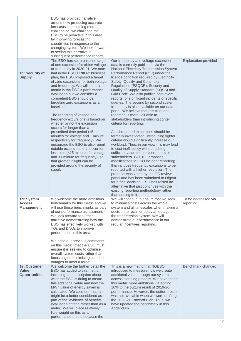| 1c: Security of<br><b>Supply</b>                 | ESO has provided narrative<br>around how producing accurate<br>forecasts is becoming more<br>challenging, we challenge the<br>ESO to be proactive in this area<br>by improving forecasting<br>capabilities in response to the<br>changing system. We look forward<br>to seeing this narrative in<br>subsequent performance reports.<br>The ESO has set a baseline target<br>of one excursion for either voltage<br>or frequency in 2020-21. We note<br>that in the ESO's RIIO-2 business<br>plan, the ESO proposed a target<br>of zero excursions for both voltage<br>and frequency. We will use this<br>metric in the ESO's performance<br>evaluation but we consider a<br>competent ESO should be<br>targeting zero excursions as a<br>baseline.<br>The reporting of voltage and<br>frequency excursions is based on<br>whether or not the excursion<br>occurs for longer than a<br>prescribed time period (15<br>minutes for voltage and 1 minute<br>respectively for frequency). We<br>encourage the ESO to also report<br>notable excursions that occur for<br>less time (<15 minutes for voltage<br>and <1 minute for frequency), so<br>that greater insight can be<br>provided around the security of<br>supply. | Our frequency and voltage excursion<br>data is currently published via the<br>National Electricity Transmission System<br>Performance Report (C17) under the<br>licence condition required by Electricity<br>Safety, Quality and Continuity<br>Regulations (ESQCR), Security and<br>Quality of Supply Standard (SQSS) and<br>Grid Code. We also publish post event<br>reports for significant incidents or specific<br>queries. The second by second system<br>frequency is also available on our data<br>portal. We believe that this frequent<br>reporting is more valuable to<br>stakeholders than introducing tighter<br>criteria for reporting.<br>As all reported excursions should be<br>formally investigated, introducing tighter<br>criteria would significantly increase our<br>workload. Thus, in our view this may lead<br>to cost inefficiency without adding<br>sufficient value for our consumers or<br>stakeholders. GC0105 proposes<br>modifications in ESO incident reporting;<br>this includes frequency excursions to be<br>reported with a higher resolution. The<br>proposal was voted by the GC review<br>panel and has been submitted to Ofgem<br>for a final decision. ESO has raised an<br>alternative that just continues with the | <b>Explanation provided</b>      |
|--------------------------------------------------|-------------------------------------------------------------------------------------------------------------------------------------------------------------------------------------------------------------------------------------------------------------------------------------------------------------------------------------------------------------------------------------------------------------------------------------------------------------------------------------------------------------------------------------------------------------------------------------------------------------------------------------------------------------------------------------------------------------------------------------------------------------------------------------------------------------------------------------------------------------------------------------------------------------------------------------------------------------------------------------------------------------------------------------------------------------------------------------------------------------------------------------------------------------------------------------------------------------------------|----------------------------------------------------------------------------------------------------------------------------------------------------------------------------------------------------------------------------------------------------------------------------------------------------------------------------------------------------------------------------------------------------------------------------------------------------------------------------------------------------------------------------------------------------------------------------------------------------------------------------------------------------------------------------------------------------------------------------------------------------------------------------------------------------------------------------------------------------------------------------------------------------------------------------------------------------------------------------------------------------------------------------------------------------------------------------------------------------------------------------------------------------------------------------------------------------------------------------------------------------------------|----------------------------------|
| 1d: System<br><b>Access</b><br><b>Management</b> | We welcome the more ambitious<br>benchmarks for this metric and we<br>will use these benchmarks as part<br>of our performance assessment.<br>We look forward to further<br>narrative demonstrating how the<br>ESO has effectively worked with<br>TOs and DNOs to improve<br>performance in this area.<br>We echo our previous comments<br>on this metric, that the ESO must<br>ensure it is seeking to optimise<br>overall system costs rather than<br>focussing on minimising planned<br>outages to meet a target.                                                                                                                                                                                                                                                                                                                                                                                                                                                                                                                                                                                                                                                                                                     | existing reporting methodology rather<br>than adding to it.<br>We will continue to ensure that we seek<br>to minimise costs across the whole<br>system and all timescales when making a<br>decision to recall or delay an outage on<br>the transmission system. We will<br>demonstrate our performance in our<br>regular incentives reporting.                                                                                                                                                                                                                                                                                                                                                                                                                                                                                                                                                                                                                                                                                                                                                                                                                                                                                                                 | To be addressed via<br>reporting |
| 1e: Customer<br>Value<br><b>Opportunities</b>    | We welcome the further detail the<br>ESO has added to this metric,<br>including the description about<br>what the ESO is doing to create<br>this additional value and how the<br>MWh value of energy saved is<br>calculated. We consider that this<br>might be a better considered as<br>part of the 'evidence of benefits'<br>evaluation criteria rather than as a<br>metric. We will place relatively<br>little weight on this as a<br>performance metric because the                                                                                                                                                                                                                                                                                                                                                                                                                                                                                                                                                                                                                                                                                                                                                 | This is a new metric that NGESO<br>introduced to measure how we create<br>additional value through our system<br>access planning process. We have made<br>this metric more ambitious via adding<br>10% to the outturn result of 2019-20<br>performance. However, the outturn result<br>was not available when we were drafting<br>the 2020-21 Forward Plan. Thus, we<br>have updated the benchmark in this<br>Addendum.                                                                                                                                                                                                                                                                                                                                                                                                                                                                                                                                                                                                                                                                                                                                                                                                                                        | Benchmark changed                |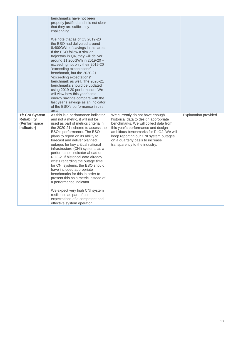|                                                                    | benchmarks have not been<br>properly justified and it is not clear<br>that they are sufficiently<br>challenging.<br>We note that as of Q3 2019-20<br>the ESO had delivered around<br>8,400GWh of savings in this area.<br>If the ESO follow a similar<br>trajectory in Q4, they will deliver<br>around 11,200GWh in 2019-20 -<br>exceeding not only their 2019-20<br>"exceeding expectations"<br>benchmark, but the 2020-21<br>"exceeding expectations"<br>benchmark as well. The 2020-21<br>benchmarks should be updated<br>using 2019-20 performance. We<br>will view how this year's total<br>energy savings compare with the<br>last year's savings as an indicator<br>of the ESO's performance in this<br>area.                             |                                                                                                                                                                                                                                                                                                                  |                             |
|--------------------------------------------------------------------|--------------------------------------------------------------------------------------------------------------------------------------------------------------------------------------------------------------------------------------------------------------------------------------------------------------------------------------------------------------------------------------------------------------------------------------------------------------------------------------------------------------------------------------------------------------------------------------------------------------------------------------------------------------------------------------------------------------------------------------------------|------------------------------------------------------------------------------------------------------------------------------------------------------------------------------------------------------------------------------------------------------------------------------------------------------------------|-----------------------------|
| 1f: CNI System<br><b>Reliability</b><br>(Performance<br>Indicator) | As this is a performance indicator<br>and not a metric, it will not be<br>used as part of metrics criteria in<br>the 2020-21 scheme to assess the<br>ESO's performance. The ESO<br>plans to report on its ability to<br>forecast and deliver planned<br>outages for key critical national<br>infrastructure (CNI) systems as a<br>performance indicator ahead of<br>RIIO-2. If historical data already<br>exists regarding the outage time<br>for CNI systems, the ESO should<br>have included appropriate<br>benchmarks for this in order to<br>present this as a metric instead of<br>a performance indicator.<br>We expect very high CNI system<br>resilience as part of our<br>expectations of a competent and<br>effective system operator. | We currently do not have enough<br>historical data to design appropriate<br>benchmarks. We will collect data from<br>this year's performance and design<br>ambitious benchmarks for RIIO2. We will<br>keep reporting our CNI system outages<br>on a quarterly basis to increase<br>transparency to the industry. | <b>Explanation provided</b> |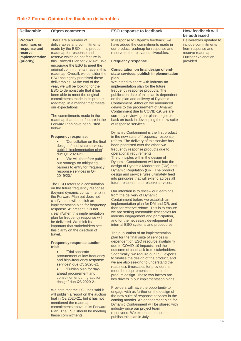## <span id="page-13-0"></span>**Role 2 Formal Opinion feedback on deliverables**

| <b>Deliverable</b>      | <b>Ofgem comments</b>                                                    | <b>ESO response to feedback</b>                                                      | How feedback will                     |
|-------------------------|--------------------------------------------------------------------------|--------------------------------------------------------------------------------------|---------------------------------------|
|                         |                                                                          |                                                                                      | be addressed                          |
| <b>Product</b>          | There are a number of                                                    | In response to Ofgem's feedback, we                                                  | Deliverables updated to               |
| roadmaps on             | deliverables and commitments                                             | have added the commitments made in                                                   | include commitments                   |
| response and<br>reserve | made by the ESO in its product<br>roadmap for response and               | our product roadmap for response and<br>reserve to the relevant deliverables.        | from response and<br>reserve roadmap. |
| implementation          | reserve which do not feature in                                          |                                                                                      | <b>Further explanation</b>            |
| (priority)              | this Forward Plan for 2020-21. We                                        | <b>Frequency response</b>                                                            | provided.                             |
|                         | encourage the ESO to meet the<br>original commitments made in this       | <b>Consultation on final design of end-</b>                                          |                                       |
|                         | roadmap. Overall, we consider the                                        | state services, publish implementation                                               |                                       |
|                         | ESO has rightly prioritised these                                        | plan                                                                                 |                                       |
|                         | deliverables. At the end of the                                          | We intend to share with industry an                                                  |                                       |
|                         | year, we will be looking for the                                         | implementation plan for the future                                                   |                                       |
|                         | ESO to demonstrate that it has<br>been able to meet the original         | frequency response products. The<br>publication date of this plan is dependent       |                                       |
|                         | commitments made in its product                                          | on the plan and delivery of Dynamic                                                  |                                       |
|                         | roadmap, in a manner that meets                                          | Containment. Although we announced                                                   |                                       |
|                         | our expectations.                                                        | delays to the procurement of Dynamic                                                 |                                       |
|                         |                                                                          | Containment due to COVID-19, we are                                                  |                                       |
|                         | The commitments made in the<br>roadmap that do not feature in the        | currently reviewing our plans to get us<br>back on track in developing the new suite |                                       |
|                         | Forward Plan have been listed                                            | of response services.                                                                |                                       |
|                         | below:                                                                   |                                                                                      |                                       |
|                         |                                                                          | Dynamic Containment is the first product                                             |                                       |
|                         | <b>Frequency response:</b>                                               | in the new suite of frequency response                                               |                                       |
|                         | "Consultation on the final                                               | reform. The delivery of this service has<br>been prioritised over the other two      |                                       |
|                         | design of end-state services,<br>publish implementation plan"            | frequency response products due to                                                   |                                       |
|                         | due Q1 2020-21.                                                          | operational requirements.                                                            |                                       |
|                         | "We will therefore publish                                               | The principles within the design of                                                  |                                       |
|                         | our strategy on mitigating                                               | Dynamic Containment will feed into the                                               |                                       |
|                         | barriers to entry for frequency                                          | design of Dynamic Moderation (DM) and<br>Dynamic Regulation (DR). The product        |                                       |
|                         | response services in Q4<br>2019/20."                                     | design and service rules ultimately feed                                             |                                       |
|                         |                                                                          | into principles that will extend across all                                          |                                       |
|                         | The ESO refers to a consultation                                         | future response and reserve services.                                                |                                       |
|                         | on the future frequency response                                         |                                                                                      |                                       |
|                         | (beyond dynamic containment) in                                          | Our intention is to review our learnings<br>from the delivery of Dynamic             |                                       |
|                         | the Forward Plan but does not<br>clarify that it will publish an         | Containment before we establish an                                                   |                                       |
|                         | implementation plan for frequency                                        | implementation plan for DM and DR, and                                               |                                       |
|                         | response. At present, it is not                                          | then for reserve reform. This is to ensure                                           |                                       |
|                         | clear if/when this implementation                                        | we are setting reasonable timescales for<br>industry engagement and participation,   |                                       |
|                         | plan for frequency response will                                         | and for the necessary development of                                                 |                                       |
|                         | be delivered. We think its<br>important that stakeholders see            | internal ESO systems and procedures.                                                 |                                       |
|                         | this clarity on the direction of                                         |                                                                                      |                                       |
|                         | travel.                                                                  | The publication of an implementation                                                 |                                       |
|                         |                                                                          | plan for the final suite of services is<br>dependent on ESO resource availability    |                                       |
|                         | <b>Frequency response auction</b><br>trial:                              | due to COVID-19 impacts, and the                                                     |                                       |
|                         | "Trial separate                                                          | outcome of feedback from stakeholders.                                               |                                       |
|                         | procurement of low-frequency                                             | Specifically, we require our ESO experts                                             |                                       |
|                         | and high-frequency response                                              | to finalise the design of the product, and                                           |                                       |
|                         | services" due Q3 2020-21                                                 | we are also seeking to understand the<br>readiness timescales for providers to       |                                       |
|                         | "Publish plan for day-                                                   | meet the requirements set out in the                                                 |                                       |
|                         | ahead procurement and<br>consult on enduring auction                     | product design. These two factors are                                                |                                       |
|                         | design" due Q3 2020-21                                                   | key drivers in our implementation plans.                                             |                                       |
|                         |                                                                          | Providers will have the opportunity to                                               |                                       |
|                         | We note that the ESO has said it<br>will publish a report on the auction | engage with us further on the design of                                              |                                       |
|                         | trial in Q2 2020-21, but it has not                                      | the new suite of response services in the                                            |                                       |
|                         | mentioned the roadmap                                                    | coming months. An engagement plan for<br>Dynamic Containment will be shared with     |                                       |
|                         | commitments above in its Forward                                         | industry once our project team                                                       |                                       |
|                         | Plan. The ESO should be meeting                                          | reconvene. We expect to be able to                                                   |                                       |
|                         | these commitments.                                                       | publish this plan in July.                                                           |                                       |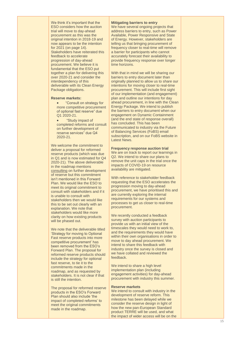We think it's important that the ESO considers how the auction trial will move to day -ahead procurement as this was the original intention in 2018 -19 and now appears to be the intention for 2021 (on page 14). Stakeholders have reiterated this feedback to accelerate progression of day -ahead procurement. We beli eve it is fundamental that the ESO put together a plan for delivering this over 2020 -21 and consider the interdependency of this deliverable with its Clean Energy Package obligations.

#### **Reserve markets:**

- "Consult on strategy for more competitive procurement of optional fast reserve" due Q1 2020 -21.
- "Study impact of completed reforms and consult on further development of reserve services" due Q4 2020 -21.

We welcome the commitment to deliver a proposal for reformed reserve products (which was due in Q1 and is now estimated for Q4 2020 -21). The above deliverable in the roadmap mentions consulting on further development of reserve but this commitment isn't mentioned in this Forward Plan. We would like the ESO to meet its original commitment to consult with stakeholders and if it is unable to consult with stakeholders then we would like this to be set out clearly with an explanation. We note that stakeholders would like more clarity on how existing products will be phased out.

We note that the deliverable titled 'Strategy for moving to Optional Fast reserve products into more competitive procurement' has<br>been removed from the ESO's Forward Plan. The proposal for reformed reserve products should include the strategy for optional fast reserve, to tie it to the commitments made in the roadmap, and as requested by stakeholders. It is not clear if that is still the intention.

The proposal for reformed reserve<br>products in the ESO's Forward Plan should also include 'the impact of completed reforms' to meet the original commitments made in the roadmap.

#### **Mitigating barriers to entry**

We have several ongoing projects that address barriers to entry, such as Power Available, Power Responsive and State of Energy. However, stakeholders are telling us that bringing procurement of frequency closer to real -time will remove a barrier for participants who cannot accurately forecast their availability to provide frequency response over longer time horizons.

With that in mind we will be sharing our barriers to entry document later than originally planned to allow us to share our intentions for moving closer to real -time procurement. This will include first sight of our implementation (and engagement) plan and outline our intentions for day ahead procurement, in line with the Clean Energy Package. We intend to publish the barriers to entry document when our engagement on Dynamic Containment (and the end state o f response overall) has concluded. This has been communicated to industry via the Future of Balancing Services (FoBS) email subscription, and on our FoBS website in Latest News.

## **Frequency response auction trial**

We are on track to report our learnings in Q2. We intend to share our plans to remove the unit caps in the trial once the impacts of COVID -19 on resource availability are mitigated.

With reference to stakeholder feedback requesting that the ESO accelerates the progression moving to day -ahead procurement, we have prioritised this and are currently exploring the internal requirements for our systems and processes to get us closer to real-time procurement.

We recently conducted a feedback survey with auction participants to provide us with an initial view of the timescales they would need to work to, and the requirements they would have within their own organisations in order to move to day ahead procurement. We intend to share this feedback with industry once the survey is closed and we have collated and reviewed the feedback.

We intend to share a high level implementation plan (including engagement activities) for day -ahead procurement with industry this summer.

#### **Reserve markets**

We intend to consult with industry in the development of reserve reform. This milestone has been delayed while we consider the reserve design in light of how the new pan -European Standard product TERRE will be used, and what the impact of wider access will be on the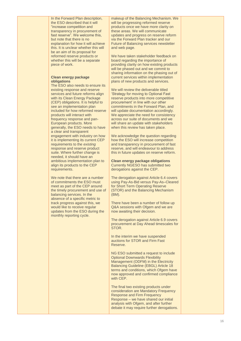In the Forward Plan description, the ESO described that it will "increase competition and transparency in procurement of fast reserve<sup>"</sup>. We welcome this, but note that there is no explanation for how it will achieve this. It is unclear whether this will be an aim of its proposal for reformed reserve products or whether this will be a separate piece of work.

#### **Clean energy package obligations**

The ESO also needs to ensure its existing response and reserve services and future reforms align with its Clean Energy Package (CEP) obligations. It is helpful to see an implementation plan included for how reformed reserve products will interact with frequency response and pan - European products. More generally, the ESO needs to have a clear and transparent engagement with industry on how it is implementing its current CEP requirements to the *existing* response and reserve product suite. Where further change is needed, it should have an ambitious implementation plan to align its products to the CEP requirements.

We note that there are a number of commitments the ESO must meet as part of the CEP around the timely procurement and use of balancing services. In the absence of a specific metric to track progress against this, we would like to receive regular updates from the ESO during the monthly reporting cycle.

makeup of the Balancing Mechanism. We will be progressing reformed reserve products once we have more clarity on these areas. We will communicate updates and progress on reserve reform via the Forward Plan tracker and our Future of Balancing services newsletter and web page.

We have taken stakeholder feedback on board regarding the importance of providing clarity on how existing products will be phased out and we commit to sharing information on the phasing out of current services within implementation plans of new products and services.

We will review the deliverable titled 'Strategy for moving to Optional Fast reserve products into more competitive procurement' in line with our other commitments in the Forward Plan, and will update documentation accordingly. We appreciate the need for consistency across our suite of documents and we will share an update with stakeholders when this review has taken place.

We acknowledge the question regarding how the ESO will increase competition and transparency in procurement of fast reserve, and will endeavour to address this in future updates on reserve reform.

**Clean energy package obligations** Currently NGESO has submitted two derogations against the CEP.

The derogation against Article 6.4 covers using Pay -As -Bid versus Pay -As –Cleared for Short Term Operating Reserve (STOR) and the Balancing Mechanism (BM).

There have been a number of follow up Q&A sessions with Ofgem and we are now awaiting their decision.

The derogation against Article 6.9 covers procur ement at Day Ahead timescales for STOR.

In the interim we have suspended auctions for STOR and Firm Fast Reserve .

NG ESO submitted a request to include Optional Downwards Flexibility Management (ODFM ) in the Electricity Balancing Guideline (EBGL ) Article 18 terms and conditions, which Ofgem have now approved and confirmed compliance with CEP.

The final two existing products under consideration are Mandatory Frequency Response and Firm Frequency Response – we have shared our initial analysis wi th Ofgem , and after further debate it may require further derogations.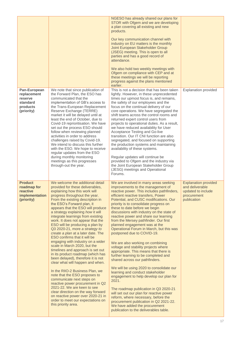|                                                                              |                                                                                                                                                                                                                                                                                                                                                                                                                                                                                                                                                                                                                                                                                                                                                                                                                                                                                                                                                                                                                                             | NGESO has already shared our plans for<br>STOR with Ofgem and we are developing<br>a plan covering all existing and new<br>products.<br>Our key communication channel with<br>industry on EU matters is the monthly<br>Joint European Stakeholder Group<br>(JSEG) meeting. This is open to all<br>parties and has a good record of<br>attendance.<br>We also hold two weekly meetings with<br>Ofgem on compliance with CEP and at<br>these meetings we will be reporting<br>progress against the plans mentioned<br>earlier.                                                                                                                                                                                                                                                                                                                                                                                                                                                                                                                                                                                       |                                                                                                    |
|------------------------------------------------------------------------------|---------------------------------------------------------------------------------------------------------------------------------------------------------------------------------------------------------------------------------------------------------------------------------------------------------------------------------------------------------------------------------------------------------------------------------------------------------------------------------------------------------------------------------------------------------------------------------------------------------------------------------------------------------------------------------------------------------------------------------------------------------------------------------------------------------------------------------------------------------------------------------------------------------------------------------------------------------------------------------------------------------------------------------------------|--------------------------------------------------------------------------------------------------------------------------------------------------------------------------------------------------------------------------------------------------------------------------------------------------------------------------------------------------------------------------------------------------------------------------------------------------------------------------------------------------------------------------------------------------------------------------------------------------------------------------------------------------------------------------------------------------------------------------------------------------------------------------------------------------------------------------------------------------------------------------------------------------------------------------------------------------------------------------------------------------------------------------------------------------------------------------------------------------------------------|----------------------------------------------------------------------------------------------------|
| Pan-European<br>replacement<br>reserve<br>standard<br>products<br>(priority) | We note that since publication of<br>the Forward Plan, the ESO has<br>communicated that the<br>implementation of GB's access to<br>the Trans-European Replacement<br>Reserve Exchange (TERRE)<br>market it will be delayed until at<br>least the end of October, due to<br>Covid-19 reprioritisation. We have<br>set out the process ESO should<br>follow when reviewing planned<br>activities in order to address<br>challenges raised by Covid-19.<br>We intend to discuss this further<br>with the ESO. We hope to receive<br>regular updates from the ESO<br>during monthly monitoring<br>meetings as this progresses<br>through-out the year.                                                                                                                                                                                                                                                                                                                                                                                          | This is not a decision that has been taken<br>lightly. However, in these unprecedented<br>times our upmost focus is, and remains,<br>the safety of our employees and the<br>focus on the continual delivery of our<br>core operations. We have segregated the<br>shift teams across the control rooms and<br>returned expert control users from<br>projects to operational duties. As a result,<br>we have reduced availability for User<br>Acceptance Testing and Go-live<br>transition. Our IT CNI function are also<br>segregated, and focused on supporting<br>the production systems and maintaining<br>availability of these systems.<br>Regular updates will continue be<br>provided to Ofgem and the industry via<br>the Joint European Stakeholder Group<br>(JESG) meetings and Operational<br>Forums.                                                                                                                                                                                                                                                                                                    | <b>Explanation provided</b>                                                                        |
| <b>Product</b><br>roadmap for<br>reactive<br>implementation<br>(priority)    | We welcome the additional detail<br>provided for these deliverables,<br>explaining how this work will<br>progress throughout the year.<br>From the existing description in<br>the ESO's Forward plan, it<br>appears that the ESO will produce<br>a strategy explaining how it will<br>integrate learnings from existing<br>work. It does not appear that the<br>ESO will be producing a plan by<br>Q3 2020-21, more a strategy to<br>create a plan at a later date. The<br>ESO confirms that it will be<br>engaging with industry on a wider<br>scale in March 2020, but the<br>timelines and approach is set out<br>in its product roadmap (which has<br>been delayed), therefore it is not<br>clear what will happen and when.<br>In the RIIO-2 Business Plan, we<br>note that the ESO proposes to<br>communicate next steps on<br>reactive power procurement in Q2<br>2021-22. We are keen to see<br>clear direction on the way forward<br>on reactive power over 2020-21 in<br>order to meet our expectations on<br>this priority area. | We are involved in many areas seeking<br>improvements to the management of<br>reactive power. This includes pathfinders,<br>efficient reactive transfers, Power<br>Potential, and CUSC modifications. Our<br>priority is to consolidate progress on<br>these to date before we begin<br>discussions with industry on the state of<br>reactive power and share our learning<br>from the Mersey pathfinder. Our first<br>planned engagement was at the<br>Operational Forum in March, but this was<br>postponed due to COVID-19.<br>We are also working on combining<br>voltage and stability projects where<br>appropriate. This means that there is<br>further learning to be completed and<br>shared across our pathfinders.<br>We will be using 2020 to consolidate our<br>learning and conduct stakeholder<br>engagement to help develop our plan for<br>2021.<br>The roadmap publication in Q3 2020-21<br>will set out our plan for reactive power<br>reform, where necessary, before the<br>procurement publication in Q2 2021-22.<br>We have added the procurement<br>publication to the deliverables table. | <b>Explanation provided</b><br>and deliverable<br>updated to include<br>procurement<br>publication |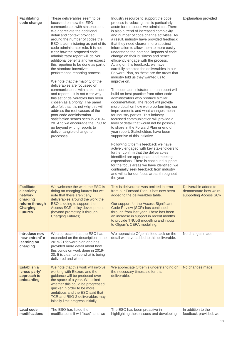| <b>Facilitating</b>               | These deliverables seem to be                                          | Industry resource to support the code                                                 | <b>Explanation provided</b>                   |
|-----------------------------------|------------------------------------------------------------------------|---------------------------------------------------------------------------------------|-----------------------------------------------|
| code change                       | focussed on how the ESO                                                | process is reducing; this is particularly                                             |                                               |
|                                   | communicates with stakeholders.                                        | acute for the codes we administer. There                                              |                                               |
|                                   | We appreciate the additional<br>detail and context provided            | is also a trend of increased complexity<br>and number of code change activities. As   |                                               |
|                                   | around the number of codes the                                         | a result, industry have provided feedback                                             |                                               |
|                                   | ESO is administering as part of its                                    | that they need clearer, more succinct                                                 |                                               |
|                                   | code administrator role. It is not                                     | information to allow them to more easily                                              |                                               |
|                                   | clear how the proposed code                                            | understand the potential impacts of code<br>change on their business and hence        |                                               |
|                                   | administrator report will deliver<br>additional benefits and we expect | efficiently engage with the process.                                                  |                                               |
|                                   | this reporting to be done as part of                                   | Acting on this feedback, we have                                                      |                                               |
|                                   | the standard incentives                                                | carefully selected the deliverables in our                                            |                                               |
|                                   | performance reporting process.                                         | Forward Plan, as these are the areas that                                             |                                               |
|                                   | We note that the majority of the                                       | industry told us they wanted us to<br>improve on.                                     |                                               |
|                                   | deliverables are focussed on                                           |                                                                                       |                                               |
|                                   | communications with stakeholders                                       | The code administrator annual report will                                             |                                               |
|                                   | and reports - it is not clear why                                      | build on best practice from other code                                                |                                               |
|                                   | this set of deliverables has been<br>chosen as a priority. The panel   | administrators who produce similar<br>documentation. The report will provide          |                                               |
|                                   | also felt that it is not why this will                                 | more detail on how we're performing, our                                              |                                               |
|                                   | address the root causes of the                                         | improvements and what changes mean                                                    |                                               |
|                                   | poor code administration                                               | for industry parties. This industry                                                   |                                               |
|                                   | satisfaction scores seen in 2019-<br>20. And we encourage the ESO to   | focussed communication will provide a<br>level of detail that would not be possible   |                                               |
|                                   | go beyond writing reports to                                           | to share in the Forward Plan or end of                                                |                                               |
|                                   | deliver tangible change to                                             | year report. Stakeholders have been                                                   |                                               |
|                                   | processes.                                                             | supportive of this initiative.                                                        |                                               |
|                                   |                                                                        | Following Ofgem's feedback we have                                                    |                                               |
|                                   |                                                                        | actively engaged with key stakeholders to<br>further confirm that the deliverables    |                                               |
|                                   |                                                                        | identified are appropriate and meeting                                                |                                               |
|                                   |                                                                        | expectations. There is continued support                                              |                                               |
|                                   |                                                                        | for the focus areas we have identified, we                                            |                                               |
|                                   |                                                                        | continually seek feedback from industry<br>and will tailor our focus areas throughout |                                               |
|                                   |                                                                        | the year.                                                                             |                                               |
|                                   |                                                                        |                                                                                       |                                               |
| <b>Facilitate</b><br>electricity  | We welcome the work the ESO is<br>doing on charging futures but we     | This is deliverable was omitted in error<br>from our Forward Plan; it has now been    | Deliverable added to<br>demonstrate how we're |
| network                           | note that there aren't any                                             | added to the deliverables table.                                                      | supporting Access SCR                         |
| charging                          | deliverables around the work the                                       |                                                                                       |                                               |
| reform through                    | ESO is doing to support the                                            | Our support for the Access Significant                                                |                                               |
| <b>Charging</b><br><b>Futures</b> | Access SCR policy development<br>(beyond promoting it through          | Code Review (SCR) has continued<br>through from last year. There has been             |                                               |
|                                   | Charging Futures).                                                     | an increase in support in recent months                                               |                                               |
|                                   |                                                                        | to provide TNUoS modelling and inputs                                                 |                                               |
|                                   |                                                                        | to Ofgem's CEPA modelling.                                                            |                                               |
| Introduce new                     | We appreciate that the ESO has                                         | We appreciate Ofgem's feedback on the                                                 | No changes made                               |
| 'new entrant' e-                  | expanded on the description in the                                     | detail we have added to this deliverable.                                             |                                               |
| learning on                       | 2019-21 forward plan and has                                           |                                                                                       |                                               |
| charging                          | provided more detail about how<br>this builds on work done in 2019-    |                                                                                       |                                               |
|                                   | 20. It is clear to see what is being                                   |                                                                                       |                                               |
|                                   | delivered and when.                                                    |                                                                                       |                                               |
| <b>Establish a</b>                | We note that this work will involve                                    | We appreciate Ofgem's understanding on                                                | No changes made                               |
| 'cross party'                     | working with Elexon, and the                                           | the necessary timescale for this                                                      |                                               |
| approach to                       | guidance will be produced over                                         | deliverable.                                                                          |                                               |
| onboarding                        | the space of a year. We asked                                          |                                                                                       |                                               |
|                                   | whether this could be progressed<br>quicker in order to be more        |                                                                                       |                                               |
|                                   | ambitious and the ESO said that                                        |                                                                                       |                                               |
|                                   | TCR and RIIO-2 deliverables may                                        |                                                                                       |                                               |
|                                   | initially limit progress initially.                                    |                                                                                       |                                               |
| Lead code                         | The ESO has listed the                                                 | The ESO has been proactive in                                                         | In addition to the                            |
| modifications                     | modifications it will "lead", and we                                   | highlighting these issues and developing                                              | feedback provided, we                         |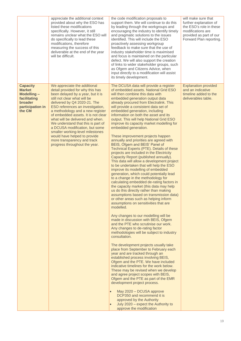|                                                                                                         | appreciate the additional context<br>provided about why the ESO has<br>listed these modifications<br>specifically. However, it still<br>remains unclear what the ESO will<br>do specifically to lead these<br>modifications, therefore<br>measuring the success of this<br>deliverable at the end of the year<br>will be difficult.                                                                                                                                                                                                  | the code modification proposals to<br>support them. We will continue to do this<br>by leading through the workgroups and<br>encouraging the industry to identify timely<br>and pragmatic solutions to the issues<br>identified. This will include the ESO<br>proactively assessing workgroup<br>feedback to make sure that the use of<br>industry stakeholder time is maximised<br>and focus is maintained on the particular<br>defect. We will also support the creation<br>of links to wider stakeholder groups, such<br>as Ofgem and Citizens Advice, when<br>input directly to a modification will assist<br>its timely development.                                                                                                                                                                                                                                                                                                                                                                                                                                                                                                                                                                                                                                                                                                                                                                                                                                                                                                                                                                                                                                                                                                                                                                                                                                                                                                                                       | will make sure that<br>further explanation of<br>the ESO's role in these<br>modifications are<br>provided as part of our<br>Forward Plan reporting. |
|---------------------------------------------------------------------------------------------------------|--------------------------------------------------------------------------------------------------------------------------------------------------------------------------------------------------------------------------------------------------------------------------------------------------------------------------------------------------------------------------------------------------------------------------------------------------------------------------------------------------------------------------------------|--------------------------------------------------------------------------------------------------------------------------------------------------------------------------------------------------------------------------------------------------------------------------------------------------------------------------------------------------------------------------------------------------------------------------------------------------------------------------------------------------------------------------------------------------------------------------------------------------------------------------------------------------------------------------------------------------------------------------------------------------------------------------------------------------------------------------------------------------------------------------------------------------------------------------------------------------------------------------------------------------------------------------------------------------------------------------------------------------------------------------------------------------------------------------------------------------------------------------------------------------------------------------------------------------------------------------------------------------------------------------------------------------------------------------------------------------------------------------------------------------------------------------------------------------------------------------------------------------------------------------------------------------------------------------------------------------------------------------------------------------------------------------------------------------------------------------------------------------------------------------------------------------------------------------------------------------------------------------------|-----------------------------------------------------------------------------------------------------------------------------------------------------|
| <b>Capacity</b><br><b>Market</b><br>Modelling-<br>facilitating<br>broader<br>participation in<br>the CM | We appreciate the additional<br>detail provided for why this has<br>been delayed by a year, but it is<br>still not clear what will be<br>delivered by Q4 2020-21. The<br>ESO references an investigation,<br>a methodology and a new register<br>of embedded assets. It is not clear<br>what will be delivered and when.<br>We understand that this is part of<br>a DCUSA modification, but some<br>smaller working-level milestones<br>would have helped to provide<br>more transparency and track<br>progress throughout the year. | The DCUSA data will provide a register<br>of embedded assets. National Grid ESO<br>will then combine this data with<br>embedded generation output data<br>already procured from Electralink. This<br>will provide a consistent data set of<br>embedded generation, including<br>information on both the asset and its<br>output. This will help National Grid ESO<br>improve its capacity market modelling for<br>embedded generation.<br>These improvement projects happen<br>annually and priorities are agreed with<br>BEIS, Ofgem and BEIS' Panel of<br>Technical Experts (PTE). Details of these<br>projects are included in the Electricity<br>Capacity Report (published annually).<br>This data will allow a development project<br>to be undertaken that will help the ESO<br>improve its modelling of embedded<br>generation, which could potentially lead<br>to a change in the methodology for<br>calculating embedded de-rating factors in<br>the capacity market (this data may help<br>us do this directly rather than making<br>assumptions based on transmission data)<br>or other areas such as helping inform<br>assumptions on sensitivities that are<br>modelled.<br>Any changes to our modelling will be<br>made in discussion with BEIS, Ofgem<br>and the PTE who scrutinise our work.<br>Any changes to de-rating factor<br>methodologies will be subject to industry<br>consultation.<br>The development projects usually take<br>place from September to February each<br>year and are tracked through an<br>established process involving BEIS,<br>Ofgem and the PTE. We have included<br>indicative timelines for the work below.<br>These may be revised when we develop<br>and agree project scopes with BEIS,<br>Ofgem and the PTE as part of the EMR<br>development project process.<br>May 2020 - DCUSA approve<br>DCP350 and recommend it is<br>approved by the Authority<br>July 2020 - expect the Authority to<br>approve the modification | <b>Explanation provided</b><br>and an indicative<br>timeline added to the<br>deliverables table.                                                    |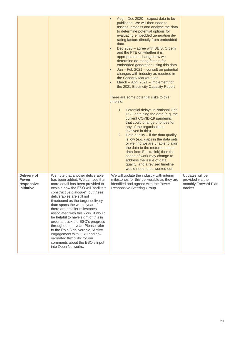|                                                         |                                                                                                                                                                                                                                                                                                                                                                                                                                                                                                                                                                                                                                                 | Aug - Dec 2020 - expect data to be<br>$\bullet$<br>published. We will then need to<br>assess, process and analyse the data<br>to determine potential options for<br>evaluating embedded generation de-<br>rating factors directly from embedded<br>data.<br>Dec 2020 - agree with BEIS, Ofgem<br>$\bullet$<br>and the PTE on whether it is<br>appropriate to change how we<br>determine de-rating factors for<br>embedded generation using this data<br>Jan - Feb 2021 - consult on potential<br>$\bullet$<br>changes with industry as required in<br>the Capacity Market rules<br>March - April 2021 - implement for<br>$\bullet$<br>the 2021 Electricity Capacity Report<br>There are some potential risks to this<br>timeline:<br>1. Potential delays in National Grid<br>ESO obtaining the data (e.g. the<br>current COVID-19 pandemic<br>that could change priorities for<br>any of the organisations<br>involved in this)<br>2. Data quality $-$ if the data quality<br>is low (e.g. gaps in the data sets<br>or we find we are unable to align<br>the data to the metered output<br>data from Electralink) then the<br>scope of work may change to<br>address the issue of data<br>quality, and a revised timeline<br>would need to be worked out. |                                                                        |
|---------------------------------------------------------|-------------------------------------------------------------------------------------------------------------------------------------------------------------------------------------------------------------------------------------------------------------------------------------------------------------------------------------------------------------------------------------------------------------------------------------------------------------------------------------------------------------------------------------------------------------------------------------------------------------------------------------------------|-----------------------------------------------------------------------------------------------------------------------------------------------------------------------------------------------------------------------------------------------------------------------------------------------------------------------------------------------------------------------------------------------------------------------------------------------------------------------------------------------------------------------------------------------------------------------------------------------------------------------------------------------------------------------------------------------------------------------------------------------------------------------------------------------------------------------------------------------------------------------------------------------------------------------------------------------------------------------------------------------------------------------------------------------------------------------------------------------------------------------------------------------------------------------------------------------------------------------------------------------------------|------------------------------------------------------------------------|
| Delivery of<br><b>Power</b><br>responsive<br>initiative | We note that another deliverable<br>has been added. We can see that<br>more detail has been provided to<br>explain how the ESO will "facilitate<br>constructive dialogue", but these<br>deliverables are still not<br>timebound as the target delivery<br>date spans the whole year. If<br>there are smaller milestones<br>associated with this work, it would<br>be helpful to have sight of this in<br>order to track the ESO's progress<br>throughout the year. Please refer<br>to the Role 3 deliverable, 'Active<br>engagement with DSO and co-<br>ordinated flexibility' for our<br>comments about the ESO's input<br>into Open Networks. | We will update the industry with interim<br>milestones for this deliverable as they are<br>identified and agreed with the Power<br>Responsive Steering Group.                                                                                                                                                                                                                                                                                                                                                                                                                                                                                                                                                                                                                                                                                                                                                                                                                                                                                                                                                                                                                                                                                             | Updates will be<br>provided via the<br>monthly Forward Plan<br>tracker |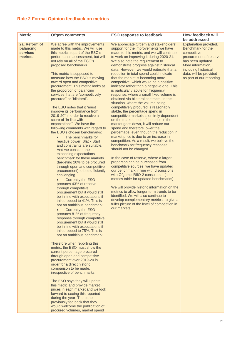## <span id="page-20-0"></span>**Role 2 Formal Opinion feedback on metrics**

| <b>Metric</b>                                            | <b>Ofgem comments</b>                                                                                                                                                                                                                                                                                                                                                                                                                                                                                                                                                                                                                                                                                                                                                                                                                                                                                                                                                                                                                                                                                                                                                                                                                                                                                                                                                                                                                                                                                                                                                                                                                                                                                                                                                                                                                                                                                                                                                          | <b>ESO response to feedback</b>                                                                                                                                                                                                                                                                                                                                                                                                                                                                                                                                                                                                                                                                                                                                                                                                                                                                                                                                                                                                                                                                                                                                                                                                                                                                                                                                                                                                                                                                                                                                                           | How feedback will                                                                                                                                                                                            |
|----------------------------------------------------------|--------------------------------------------------------------------------------------------------------------------------------------------------------------------------------------------------------------------------------------------------------------------------------------------------------------------------------------------------------------------------------------------------------------------------------------------------------------------------------------------------------------------------------------------------------------------------------------------------------------------------------------------------------------------------------------------------------------------------------------------------------------------------------------------------------------------------------------------------------------------------------------------------------------------------------------------------------------------------------------------------------------------------------------------------------------------------------------------------------------------------------------------------------------------------------------------------------------------------------------------------------------------------------------------------------------------------------------------------------------------------------------------------------------------------------------------------------------------------------------------------------------------------------------------------------------------------------------------------------------------------------------------------------------------------------------------------------------------------------------------------------------------------------------------------------------------------------------------------------------------------------------------------------------------------------------------------------------------------------|-------------------------------------------------------------------------------------------------------------------------------------------------------------------------------------------------------------------------------------------------------------------------------------------------------------------------------------------------------------------------------------------------------------------------------------------------------------------------------------------------------------------------------------------------------------------------------------------------------------------------------------------------------------------------------------------------------------------------------------------------------------------------------------------------------------------------------------------------------------------------------------------------------------------------------------------------------------------------------------------------------------------------------------------------------------------------------------------------------------------------------------------------------------------------------------------------------------------------------------------------------------------------------------------------------------------------------------------------------------------------------------------------------------------------------------------------------------------------------------------------------------------------------------------------------------------------------------------|--------------------------------------------------------------------------------------------------------------------------------------------------------------------------------------------------------------|
|                                                          |                                                                                                                                                                                                                                                                                                                                                                                                                                                                                                                                                                                                                                                                                                                                                                                                                                                                                                                                                                                                                                                                                                                                                                                                                                                                                                                                                                                                                                                                                                                                                                                                                                                                                                                                                                                                                                                                                                                                                                                |                                                                                                                                                                                                                                                                                                                                                                                                                                                                                                                                                                                                                                                                                                                                                                                                                                                                                                                                                                                                                                                                                                                                                                                                                                                                                                                                                                                                                                                                                                                                                                                           | be addressed                                                                                                                                                                                                 |
| 2a: Reform of<br>balancing<br><b>services</b><br>markets | We agree with the improvements<br>made to this metric. We will use<br>this metric as part of the ESO's<br>performance assessment, but will<br>not rely on all of the ESO's<br>proposed benchmarks.<br>This metric is supposed to<br>measure how the ESO is moving<br>toward open and competitive<br>procurement. This metric looks at<br>the proportion of balancing<br>services that are "competitively<br>procured" or "bilateral".<br>The ESO notes that it "must<br>improve its performance from<br>2019-20" in order to receive a<br>score of "in line with<br>expectations". We have the<br>following comments with regard to<br>the ESO's chosen benchmarks:<br>The benchmarks for<br>reactive power, Black Start<br>and constraints are suitable.<br>And we consider the<br>exceeding expectations<br>benchmark for these markets<br>(targeting 20% to be procured<br>through open and competitive<br>procurement) to be sufficiently<br>challenging.<br><b>Currently the ESO</b><br>$\bullet$<br>procures 43% of reserve<br>through competitive<br>procurement but it would still<br>be in line with expectations if<br>this dropped to 41%. This is<br>not an ambitious benchmark.<br><b>Currently the ESO</b><br>$\bullet$<br>procures 81% of frequency<br>response through competitive<br>procurement but it would still<br>be in line with expectations if<br>this dropped to 75%. This is<br>not an ambitious benchmark.<br>Therefore when reporting this<br>metric, the ESO must show the<br>current percentage procured<br>through open and competitive<br>procurement over 2019-20 in<br>order for a direct historic<br>comparison to be made,<br>irrespective of benchmarks.<br>The ESO says they will update<br>this metric and provide market<br>prices in each market and we look<br>forward to seeing this reported<br>during the year. The panel<br>previously fed back that they<br>would welcome the publication of<br>procured volumes, market spend | We appreciate Ofgem and stakeholders'<br>support for the improvements we have<br>made to this metric, and we will continue<br>to work on improving it during 2020-21.<br>We also note the requirement to<br>demonstrate progress against historical<br>data. However, we would reiterate that a<br>reduction in total spend could indicate<br>that the market is becoming more<br>competitive, which would be a positive<br>indicator rather than a negative one. This<br>is particularly acute for frequency<br>response, where a small fixed volume is<br>obtained via bilateral contracts. In this<br>situation, where the volume being<br>competitively procured is reasonably<br>stable, the percentage spend in<br>competitive markets is entirely dependent<br>on the market price. If the price in the<br>market goes down, it will reduce our<br>spend and therefore lower the<br>percentage, even though the reduction in<br>market price is due to an increase in<br>competition. As a result, we believe the<br>benchmark for frequency response<br>should not be changed.<br>In the case of reserve, where a larger<br>proportion can be purchased from<br>competitive sources, we have updated<br>our benchmark in line with discussions<br>with Ofgem's RIIO-2 consultants (see<br>metrics table for updated benchmarks).<br>We will provide historic information on the<br>metrics to allow longer term trends to be<br>identified. We will also continue to<br>develop complementary metrics, to give a<br>fuller picture of the level of competition in<br>our markets. | Explanation provided.<br>Benchmark for the<br>competitive<br>procurement of reserve<br>has been updated.<br>More information,<br>including historical<br>data, will be provided<br>as part of our reporting. |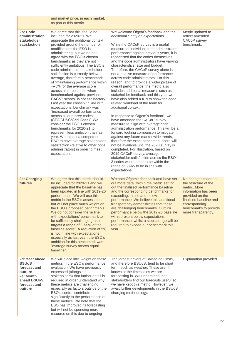|                                                                                                                  | and market price, in each market,<br>as part of this metric.                                                                                                                                                                                                                                                                                                                                                                                                                                                                                                                                                                                                                                                                                                                                                                                                                                                                                                                                                   |                                                                                                                                                                                                                                                                                                                                                                                                                                                                                                                                                                                                                                                                                                                                                                                                                                                                                                                                                                                                                                                                                                                                                                                                                                                                                                  |                                                                                                                                                                                                 |
|------------------------------------------------------------------------------------------------------------------|----------------------------------------------------------------------------------------------------------------------------------------------------------------------------------------------------------------------------------------------------------------------------------------------------------------------------------------------------------------------------------------------------------------------------------------------------------------------------------------------------------------------------------------------------------------------------------------------------------------------------------------------------------------------------------------------------------------------------------------------------------------------------------------------------------------------------------------------------------------------------------------------------------------------------------------------------------------------------------------------------------------|--------------------------------------------------------------------------------------------------------------------------------------------------------------------------------------------------------------------------------------------------------------------------------------------------------------------------------------------------------------------------------------------------------------------------------------------------------------------------------------------------------------------------------------------------------------------------------------------------------------------------------------------------------------------------------------------------------------------------------------------------------------------------------------------------------------------------------------------------------------------------------------------------------------------------------------------------------------------------------------------------------------------------------------------------------------------------------------------------------------------------------------------------------------------------------------------------------------------------------------------------------------------------------------------------|-------------------------------------------------------------------------------------------------------------------------------------------------------------------------------------------------|
| 2b: Code<br>administration<br>stakeholder<br>satisfaction                                                        | We agree that this should be<br>included for 2020-21. We<br>appreciate the additional context<br>provided around the number of<br>modifications the ESO is<br>administering, but we do not<br>agree with the ESO's chosen<br>benchmarks as they are not<br>sufficiently ambitious. The ESO's<br>code administration stakeholder<br>satisfaction is currently below<br>average, therefore a benchmark<br>of "maintaining performance within<br>+/-5% for the average score<br>across all three codes when<br>benchmarked against previous<br>CACoP scores" is not satisfactory.<br>Last year the chosen 'in line with<br>expectations' benchmark was<br>"increased overall performance<br>across all our three codes<br>(STC/CUSC/Grid Code)". We<br>consider the ESO's chosen<br>benchmarks for 2020-21 to<br>represent less ambition than last<br>year. We expect a competent<br>ESO to have average stakeholder<br>satisfaction (relative to other code<br>administrators) in order to meet<br>expectations. | We welcome Ofgem's feedback and the<br>additional clarity on expectations.<br>While the CACoP survey is a useful<br>measure of individual code administrator<br>performance against previous years, it is<br>recognised that the codes themselves<br>and the code administrators have varying<br>characteristics, size and budget.<br>Therefore, the CACoP survey alone is<br>not a relative measure of performance<br>across code administrators. For this<br>reason, and to provide a wider picture of<br>overall performance, the metric also<br>includes additional measures such as<br>stakeholder feedback and this year we<br>have also added a KPI to show the code<br>related workload of the team for<br>additional context.<br>In response to Ofgem's feedback, we<br>have amended the CACoP survey<br>measure to align with average code<br>administration performance. This will be a<br>forward looking comparison to mitigate<br>against any future market wide trends,<br>therefore the exact benchmark score will<br>not be available until the 2020 survey is<br>completed. For illustration, based on<br>2019 CACoP survey, average<br>stakeholder satisfaction across the ESO's<br>3 codes would need to be within the<br>range of 58-65 to be in line with<br>expectations. | Metric updated to<br>reflect amended<br>CACoP survey<br>benchmark.                                                                                                                              |
| 2c: Charging<br>futures                                                                                          | We agree that this metric should<br>be included for 2020-21 and we<br>appreciate that the baseline has<br>been updated in line with 2019-20<br>performance. We will use this<br>metric in the ESO's assessment<br>but will not place much weight on<br>the ESO's proposed benchmarks.<br>We do not consider the 'in line<br>with expectations' benchmark to<br>be sufficiently challenging as it<br>targets a range of "+/-5% of the<br>baseline score". A reduction of 5%<br>is not in line with expectations<br>especially as last year, the ESO's<br>ambition for this benchmark was<br>"average survey scores equal<br>baseline".                                                                                                                                                                                                                                                                                                                                                                          | We note Ofgem's feedback and have set<br>out more detail within the metric setting<br>out the finalised performance baseline<br>and the corresponding benchmarks for<br>exceeding, in line and below<br>performance. We believe this additional<br>transparency demonstrates that these<br>are challenging benchmarks. Outturn<br>performance below the 2019-20 baseline<br>will represent below expectations<br>performance, whilst a step change will be<br>required to exceed our benchmark this<br>year.                                                                                                                                                                                                                                                                                                                                                                                                                                                                                                                                                                                                                                                                                                                                                                                     | No changes made to<br>the structure of the<br>metric. More<br>information has been<br>provided on the<br>finalised baseline and<br>corresponding<br>benchmarks to provide<br>more transparency. |
| 2d: Year ahead<br><b>BSUoS</b><br>forecast and<br>outturn<br>2e: Month<br>ahead BSUoS<br>forecast and<br>outturn | We will place little weight on these<br>metrics in the ESO's performance<br>evaluation. We have previously<br>expressed (alongside<br>stakeholders) that further detail is<br>required in order understand why<br>these metrics are challenging,<br>especially as factors outside of the<br>ESO's control contribute<br>significantly to the performance of<br>these metrics. We note that the<br>ESO has improved its forecasting<br>but will not be spending more<br>resource on this due to ongoing                                                                                                                                                                                                                                                                                                                                                                                                                                                                                                         | The largest drivers of Balancing Costs,<br>and therefore BSUoS, tend to be short<br>term, such as weather. These aren't<br>known at the timescales we are<br>forecasting in. We understand that<br>stakeholders find our forecasts useful so<br>we have kept this metric. However, we<br>await further developments in the BSUoS<br>charging methodology.                                                                                                                                                                                                                                                                                                                                                                                                                                                                                                                                                                                                                                                                                                                                                                                                                                                                                                                                        | Explanation provided.                                                                                                                                                                           |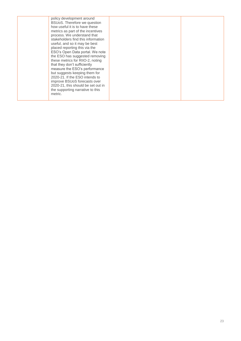| policy development around<br>BSUoS. Therefore we question<br>how useful it is to have these<br>metrics as part of the incentives<br>process. We understand that<br>stakeholders find this information<br>useful, and so it may be best<br>placed reporting this via the<br>ESO's Open Data portal. We note<br>the ESO has suggested removing<br>these metrics for RIIO-2, noting<br>that they don't sufficiently<br>measure the ESO's performance<br>but suggests keeping them for<br>2020-21. If the ESO intends to<br>improve BSUoS forecasts over<br>2020-21, this should be set out in<br>the supporting narrative to this<br>metric. |  |
|-------------------------------------------------------------------------------------------------------------------------------------------------------------------------------------------------------------------------------------------------------------------------------------------------------------------------------------------------------------------------------------------------------------------------------------------------------------------------------------------------------------------------------------------------------------------------------------------------------------------------------------------|--|
|-------------------------------------------------------------------------------------------------------------------------------------------------------------------------------------------------------------------------------------------------------------------------------------------------------------------------------------------------------------------------------------------------------------------------------------------------------------------------------------------------------------------------------------------------------------------------------------------------------------------------------------------|--|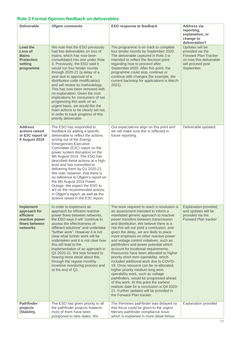## <span id="page-23-0"></span>**Role 3 Formal Opinion feedback on deliverables**

| <b>Deliverable</b>                                                                           | <b>Ofgem comments</b>                                                                                                                                                                                                                                                                                                                                                                                                                                                                                                                                                                                                       | <b>ESO response to feedback</b>                                                                                                                                                                                                                                                                                                                                                                                                                                                                                                                                                                                                                                                                                                                                                                                                                                                                                                            | <b>Address via</b><br>reporting,<br>explanation, or<br>change to<br>deliverables?                                                |
|----------------------------------------------------------------------------------------------|-----------------------------------------------------------------------------------------------------------------------------------------------------------------------------------------------------------------------------------------------------------------------------------------------------------------------------------------------------------------------------------------------------------------------------------------------------------------------------------------------------------------------------------------------------------------------------------------------------------------------------|--------------------------------------------------------------------------------------------------------------------------------------------------------------------------------------------------------------------------------------------------------------------------------------------------------------------------------------------------------------------------------------------------------------------------------------------------------------------------------------------------------------------------------------------------------------------------------------------------------------------------------------------------------------------------------------------------------------------------------------------------------------------------------------------------------------------------------------------------------------------------------------------------------------------------------------------|----------------------------------------------------------------------------------------------------------------------------------|
| <b>Lead the</b><br>Loss of<br><b>Mains</b><br><b>Protection</b><br>setting<br>programme      | We note that the ESO previously<br>had two deliverables on loss of<br>mains, which has now been<br>consolidated into one under Role<br>3. Previously, the ESO said it<br>would run four tender rounds<br>through 2020-21 (a delay of a<br>year due to approval of a<br>distribution code modification)<br>and will review its methodology.<br>This has now been removed with<br>no explanation. Given the cost<br>implications for consumers of not<br>progressing this work on an<br>urgent basis, we would like the<br>main actions to be clearly set out,<br>in order to track progress of this<br>priority deliverable. | The programme is on track to complete<br>four tender rounds by September 2020.<br>The deliverable captured in Role 3 is<br>intended to reflect the decision point<br>regarding how to proceed after<br>September 2020. After this point, the<br>programme could stop, continue or<br>continue with changes (for example, the<br>current backstop for applications is March<br>$2021$ ).                                                                                                                                                                                                                                                                                                                                                                                                                                                                                                                                                    | Updates will be<br>provided via the<br><b>Forward Plan Tracker</b><br>on how this deliverable<br>will proceed post<br>September. |
| <b>Address</b><br>actions raised<br>in E3C report of<br><b>9 August 2019</b>                 | The ESO has responded to<br>feedback by adding a specific<br>deliverable to reflect the actions<br>arising out of the Energy<br><b>Emergencies Executive</b><br>Committee (E3C) report on the<br>power system disruption on the<br>9th August 2019. The ESO has<br>described these actions at a high-<br>level and has committed to<br>delivering them by Q1 2020-21.<br>We note, however, that there is<br>no reference to Ofgem's report on<br>the 9th August 2019 Power<br>Outage. We expect the ESO to<br>act on the recommended actions<br>in Ofgem's report, as well as the<br>actions raised in the E3C report.      | Our expectations align on this point and<br>we will make sure this is reflected in<br>future reporting.                                                                                                                                                                                                                                                                                                                                                                                                                                                                                                                                                                                                                                                                                                                                                                                                                                    | Deliverable updated.                                                                                                             |
| <b>Implement</b><br>approach for<br>efficient<br>reactive power<br>flows between<br>networks | In order to implement an<br>approach for efficient reactive<br>power flows between networks,<br>the ESO says it will "continue to<br>assess the effectiveness of<br>different solutions" and undertake<br>"further work". However it is not<br>clear what further work will be<br>undertaken and it is not clear how<br>this will lead to the<br>implementation of an approach in<br>Q1 2020-21. We look forward to<br>hearing more detail about this<br>through the regular monthly<br>incentive monitoring process and<br>at the end of Q1.                                                                               | The work required to reach a resolution is<br>an assessment intended to inform a<br>mandated generic approach to reactive<br>power transfers between transmission<br>and distribution. We believe there is a<br>risk this will not yield a conclusion, and<br>given the delay, we are likely to place<br>more emphasis on other reactive power<br>and voltage control initiatives, such as<br>pathfinders and power potential which<br>account for locational requirements.<br>Resources have been allocated to higher<br>priority short term operability, which<br>included additional work due to COVID-<br>19. Once resource can be re-allocated,<br>higher priority medium long term<br>operability work, such as voltage<br>pathfinders, would be progressed ahead<br>of this work. At this point the earliest<br>realistic date for a conclusion is Q4 2020-<br>21. Further updates will be provided in<br>the Forward Plan tracker. | Explanation provided,<br>and updates will be<br>provided via the<br><b>Forward Plan tracker</b>                                  |
| <b>Pathfinder</b><br>projects<br>(Stability,                                                 | The ESO has given priority to all<br>the pathfinder projects however<br>most of them have been<br>postponed to later dates. We                                                                                                                                                                                                                                                                                                                                                                                                                                                                                              | The Pennines pathfinder was delayed so<br>that focus could be given to the urgent<br>Mersey pathfinder compliance issue<br>which is explained in more detail below.                                                                                                                                                                                                                                                                                                                                                                                                                                                                                                                                                                                                                                                                                                                                                                        | Explanation provided                                                                                                             |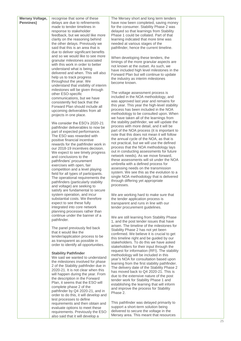| <b>Mersey Voltage,</b><br>Pennines) | recognise that some of these<br>delays are due to refinements             | The Mersey short and long term tenders<br>have now been completed, saving money          |  |
|-------------------------------------|---------------------------------------------------------------------------|------------------------------------------------------------------------------------------|--|
|                                     | made to tender timelines in<br>response to stakeholder                    | for the consumer. Stability Phase 2 was<br>delayed so that learnings from Stability      |  |
|                                     | feedback, but we would like more                                          | Phase 1 could be collated. Part of that                                                  |  |
|                                     | clarity on the reasoning behind<br>the other delays. Previously we        | learning indicated that more time was<br>needed at various stages of the                 |  |
|                                     | said that this is an area that is                                         | pathfinder, hence the current timeline.                                                  |  |
|                                     | due to deliver significant benefits<br>and so we would like to see more   |                                                                                          |  |
|                                     | granular milestones associated                                            | When developing these tenders, the<br>timings of the more granular aspects are           |  |
|                                     | with this work in order to better                                         | not known at the outset. As such, we                                                     |  |
|                                     | understand what is being<br>delivered and when. This will also            | have included high level milestones in the                                               |  |
|                                     | help us to track progress                                                 | Forward Plan but will continue to update<br>the industry as interim milestones           |  |
|                                     | throughout the year. We<br>understand that visibility of interim          | become known.                                                                            |  |
|                                     | milestones will be given through                                          |                                                                                          |  |
|                                     | other ESO-specific<br>communications, but we have                         | The voltage assessment process is<br>included in the NOA methodology, and                |  |
|                                     | consistently fed back that the                                            | was approved last year and remains for                                                   |  |
|                                     | Forward Plan should include all                                           | this year. This year the high-level stability<br>process has been included in the NOA    |  |
|                                     | upcoming deliverables from all<br>projects in one place.                  | methodology to be consulted upon. When                                                   |  |
|                                     |                                                                           | we have taken all of the learnings from                                                  |  |
|                                     | We consider the ESO's 2020-21<br>pathfinder deliverables to now be        | the stability pathfinder, we will update the<br>process with more detail, and it will be |  |
|                                     | part of expected performance.                                             | part of the NOA process (it is important to                                              |  |
|                                     | The ESO was rewarded with                                                 | note that this does not mean it will follow<br>the annual cycle of the NOA, as that is   |  |
|                                     | positive financial incentive<br>rewards for the pathfinder work in        | not practical, but we will use the defined                                               |  |
|                                     | our 2018-19 incentives decision.                                          | process that the NOA methodology lays<br>out in conducting assessments for future        |  |
|                                     | We expect to see timely progress<br>and conclusions to the                | network needs). As we move forward,                                                      |  |
|                                     | pathfinders' procurement                                                  | these assessments will sit under the NOA                                                 |  |
|                                     | exercises with open, fair<br>competition and a level playing              | umbrella with a defined process for<br>assessing needs on the transmission               |  |
|                                     | field for all types of participants.                                      | system. We see this as the evolution to a                                                |  |
|                                     | The operational requirements the<br>pathfinders (particularly stability   | single NOA methodology that is delivered<br>through differing yet appropriate            |  |
|                                     | and voltage) are seeking to                                               | processes.                                                                               |  |
|                                     | satisfy are fundamental to secure                                         |                                                                                          |  |
|                                     | system operation, and incur<br>substantial costs. We therefore            | We are working hard to make sure that<br>the tender application process is               |  |
|                                     | expect to see these fully                                                 | transparent and runs in line with our                                                    |  |
|                                     | integrated into core network<br>planning processes rather than            | tender procurement guidelines.                                                           |  |
|                                     | continue under the banner of a                                            | We are still learning from Stability Phase                                               |  |
|                                     | pathfinder.                                                               | 1, and the post tender issues that have                                                  |  |
|                                     | The panel previously fed back                                             | arisen. The timeline of the milestones for<br>Stability Phase 2 has not yet been         |  |
|                                     | that it would like the<br>tender/application process to be                | confirmed. We believe it is crucial to get                                               |  |
|                                     | as transparent as possible in                                             | this timeline right and be guided by our                                                 |  |
|                                     | order to identify all opportunities.                                      | stakeholders. To do this we have asked<br>stakeholders for their input through the       |  |
|                                     | <b>Stability Pathfinder</b>                                               | request for information (RFI). The stability                                             |  |
|                                     | We said we wanted to understand                                           | methodology will be included in this<br>year's NOA for consultation based upon           |  |
|                                     | the milestones involved for phase<br>2 of the Stability pathfinder due in | learning from the first stability pathfinder.                                            |  |
|                                     | 2020-21. It is not clear when this                                        | The delivery date of the Stability Phase 2<br>has moved back to Q4 2020-21. This is      |  |
|                                     | will happen during the year. From                                         | due to the extensive nature of the post                                                  |  |
|                                     | the description in the Forward<br>Plan, it seems that the ESO will        | tender work for Stability Phase 1 and<br>establishing the learning that will inform      |  |
|                                     | complete phase 2 of the                                                   | and improve the process for Stability                                                    |  |
|                                     | pathfinder by Q4 2020-21, and in<br>order to do this, it will develop and | Phase 2.                                                                                 |  |
|                                     | test processes to define                                                  |                                                                                          |  |
|                                     | requirements and then obtain and<br>evaluate options to meet these        | This pathfinder was delayed primarily to<br>support a short-term solution being          |  |

delivered to secure the voltage in the Mersey area. This meant that resources

evaluate options to meet these requirements. Previously the ESO also said that it will develop a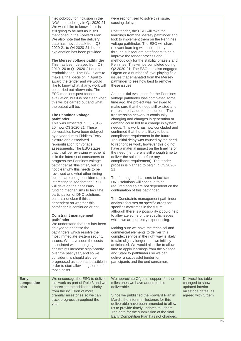methodology for inclusion in the NOA methodology in Q1 2020-21. We would like to know if this is still going to be met as it isn't mentioned in the Forward Plan. We also note that the delivery date has moved back from Q3 2020-21 to Q4 2020-21, but no explanation has been provided.

## **The Mersey voltage pathfinder**

This has been delayed from Q3 2019- 20 to Q1 2020-21 due to reprioritisation. The ESO plans to make a final decision in April to award the tender and we would like to know what, if any, work will be carried out afterwards. The ESO mentions post-tender evaluation, but it is not clear when this will be carried out and what the output will be.

## **The Pennines Voltage pathfinder**

This was expected in Q3 2019- 20, now Q3 2020-21. These deliverables have been delayed by a year due to Fiddlers Ferry closure and associated reprioritisation for voltage assessments. The ESO states that it will be reviewing whether it is in the interest of consumers to progress the Pennines voltage pathfinder at "this time", but it is not clear why this needs to be reviewed and what other timing options are being considered. It is interesting to see that the ESO will develop the necessary funding mechanisms to facilitate participation of DNO solutions, but it is not clear if this is dependent on whether this pathfinder is continued or not.

#### **Constraint management pathfinder**

We understand that this has been delayed to prioritise the pathfinders which resolve the most immediate system security issues. We have seen the costs associated with managing constraints increase significantly over the past year, and so we consider this should also be progressed as soon as possible in order to start alleviating some of those costs.

appreciate the additional clarity from the inclusion of more granular milestones so we can track progress throughout the

year.

**Early competition plan**

## were reprioritised to solve this issue, causing delays.

Post tender, the ESO will take the learnings from the Mersey pathfinder and look to implement them on the Pennines voltage pathfinder. The ESO will share relevant learning with the industry through subsequent pathfinders to help improve the tender process and methodology for the stability phase 2 and Pennines. This will be completed during Q2 2020-21. The ESO has also engaged Ofgem on a number of level playing field issues that emanated from the Mersey pathfinder to see how best to remove these issues.

As the initial evaluation for the Pennines voltage pathfinder was completed some time ago, the project was reviewed to make sure that the need still existed and represented value for consumers. The transmission network is continually changing and changes in generation or demand could led to a change in system needs. This work has now concluded and confirmed that there is likely to be a compliance requirement in the future. The initial delay was caused by the need to reprioritise work, however this did not have a material impact on the timeline of the need (i.e. there is still enough time to deliver the solution before any compliance requirement). The tender process is planned to begin in Q3 2020- 21.

The funding mechanisms to facilitate DNO solutions will continue to be required and so are not dependent on the continuation of this pathfinder.

The Constraints management pathfinder analysis focuses on specific areas for specific timeframes in the future, although there is a possibility it could help to alleviate some of the specific issues which we are currently experiencing.

Making sure we have the technical and commercial elements to deliver this complex service in the right way is likely to take slightly longer than we initially anticipated. We would also like to allow time to apply learnings from the Voltage and Stability pathfinders so we can deliver a successful tender for participants and the end consumer.

#### We encourage the ESO to deliver this work as part of Role 3 and we We appreciate Ofgem's support for the milestones we have added to this deliverable.

Since we published the Forward Plan in March, the interim milestones for this deliverable have been amended to allow us to provide timely updates to Ofgem. The date for the submission of the final Early Competition Plan has not changed. Deliverables table changed to show updated interim milestone dates, as agreed with Ofgem.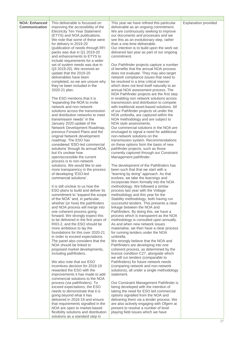| <b>NOA: Enhanced</b><br><b>Communication</b> | This deliverable is focussed on<br>improving the accessibility of the<br><b>Electricity Ten Year Statement</b><br>(ETYS) and NOA publications.<br>We note that some of these were<br>for delivery in 2019-20<br>(publication of needs through RFI<br>packs was due in Q1 2019-20<br>and enhancements to ETYS to<br>include requirements for a wider<br>set of system needs was due in<br>Q3 2019-20). We received an | This year we have refined this particular<br>deliverable as an ongoing commitment.<br>We are continuously seeking to improve<br>our documents and processes and we<br>see this as an evolutionary step, rather<br>than a one-time deliverable.<br>Our intention is to build upon the work we<br>delivered last year as part of our ongoing<br>commitment.<br>Our Pathfinder projects capture a number<br>of benefits that the annual NOA process | <b>Explanation provided</b> |
|----------------------------------------------|----------------------------------------------------------------------------------------------------------------------------------------------------------------------------------------------------------------------------------------------------------------------------------------------------------------------------------------------------------------------------------------------------------------------|--------------------------------------------------------------------------------------------------------------------------------------------------------------------------------------------------------------------------------------------------------------------------------------------------------------------------------------------------------------------------------------------------------------------------------------------------|-----------------------------|
|                                              | update that the 2019-20<br>deliverables have been<br>completed, so we are unsure why<br>they've been included in the<br>2020-21 plan.                                                                                                                                                                                                                                                                                | does not evaluate. They may also target<br>network compliance issues that need to<br>be resolved in a time critical manner<br>which does not lend itself naturally to an<br>annual NOA assessment process. The<br>NOA Pathfinder projects are the first step                                                                                                                                                                                     |                             |
|                                              | The ESO mentions that it is<br>"expanding the NOA to invite"<br>network and non-network<br>solutions across the transmission<br>and distribution networks to meet<br>transmission needs" in the<br>January 2020 update of the                                                                                                                                                                                        | in enabling non network solutions across<br>transmission and distribution to compete<br>with traditional asset-based solutions. All<br>of our Pathfinder projects sit under the<br>NOA umbrella, are captured within the<br>NOA methodology and are subject to<br>NOA style assessments.                                                                                                                                                         |                             |
|                                              | Network Development Roadmap,<br>previous Forward Plans and the<br>original Network development<br>roadmap. The ESO has<br>considered 'ESO-led commercial<br>solutions' through its annual NOA,<br>but it's unclear how                                                                                                                                                                                               | Our commercial solutions in the NOA are<br>envisaged to signal a need for additional<br>non-network solutions on the<br>transmission system. Recommendations<br>on these options form the basis of new<br>pathfinder projects, such as those<br>currently captured through our Constraint                                                                                                                                                        |                             |
|                                              | open/accessible the current<br>process is to non-network<br>solutions. We would like to see<br>more transparency in the process                                                                                                                                                                                                                                                                                      | Management pathfinder.<br>The development of the Pathfinders has<br>been such that that we start with a                                                                                                                                                                                                                                                                                                                                          |                             |
|                                              | of developing 'ESO-led<br>commercial solutions'.<br>It is still unclear to us how the<br>ESO plans to build and deliver its                                                                                                                                                                                                                                                                                          | "learning by doing" approach. As that<br>evolves, we take the learnings and<br>incorporate them formally into the NOA<br>methodology. We followed a similar<br>process last year with the Voltage                                                                                                                                                                                                                                                |                             |
|                                              | commitment to "expand the scope"<br>of the NOA" and, in particular,<br>whether (or how) the pathfinders<br>and NOA process will merge into<br>one coherent process going                                                                                                                                                                                                                                             | methodology and this year for the<br>Stability methodology, both having run<br>successful tenders. This presents a clear<br>linkage between the NOA and                                                                                                                                                                                                                                                                                          |                             |
|                                              | forward. We strongly expect this<br>to be delivered in the first years of<br>RIIO-2, and the ESO should be<br>more ambitious to lay the                                                                                                                                                                                                                                                                              | Pathfinders. By doing this, we have a<br>process which is transparent as the NOA<br>methodology is consulted upon annually.<br>As and when new network issues<br>materialise, we then have a clear process                                                                                                                                                                                                                                       |                             |
|                                              | foundations for this over 2020-21<br>in order to exceed expectations.<br>The panel also considers that the<br>NOA should be linked to<br>proposed market developments,<br>including pathfinders.                                                                                                                                                                                                                     | for running tenders under the NOA<br>umbrella.<br>We strongly believe that the NOA and<br>Pathfinders are developing into one<br>coherent process, as determined by the<br>licence condition C27, alongside which<br>we will run tenders (comparable to                                                                                                                                                                                          |                             |
|                                              | We also note that our ESO<br>incentives decision for 2018-19<br>rewarded the ESO with the<br>improvements it has made to add<br>commercial solutions to the NOA                                                                                                                                                                                                                                                      | Pathfinders) for future network needs<br>(comparing network and non-network<br>solutions), all under a single methodology<br>statement.                                                                                                                                                                                                                                                                                                          |                             |
|                                              | process (via pathfinders). To<br>exceed expectations, the ESO<br>needs to demonstrate that it is<br>going beyond what it has<br>delivered in 2018-19 and ensure                                                                                                                                                                                                                                                      | Our Constraint Management Pathfinder is<br>being developed with the intention of<br>taking the need for ESO led commercial<br>options signalled from the NOA and<br>delivering them via a tender process. We                                                                                                                                                                                                                                     |                             |
|                                              | that requirements signalled in the<br>NOA are open to market-based<br>flexibility solutions and distribution<br>solutions as a standard step in                                                                                                                                                                                                                                                                      | are also actively engaging with Ofgem at<br>present to resolve a number of level<br>playing field issues which we have                                                                                                                                                                                                                                                                                                                           |                             |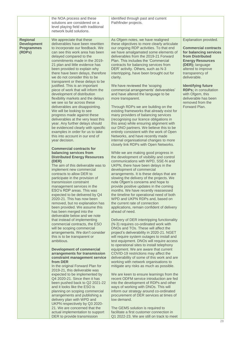|                                                                      | the NOA process and these<br>solutions are considered on a<br>level playing field with traditional<br>network build solutions.                                                                                                                                                                                                                                                                                                                                                                                                                                                                                                                                                                                                                                                                                                                                                                                                                                                                                                                                                                                                                                                                                                                                                                                                                                                                                                                                                                                                                                            | identified through past and current<br>Pathfinder projects.                                                                                                                                                                                                                                                                                                                                                                                                                                                                                                                                                                                                                                                                                                                                                                                                                                                                                                                                                                                                                                                                                                                                                                                                                                                                                                                                                                                                                                                                                                                                                                                                                                                                                                                                     |                                                                                                                                                                                                                                                                                                                                                         |
|----------------------------------------------------------------------|---------------------------------------------------------------------------------------------------------------------------------------------------------------------------------------------------------------------------------------------------------------------------------------------------------------------------------------------------------------------------------------------------------------------------------------------------------------------------------------------------------------------------------------------------------------------------------------------------------------------------------------------------------------------------------------------------------------------------------------------------------------------------------------------------------------------------------------------------------------------------------------------------------------------------------------------------------------------------------------------------------------------------------------------------------------------------------------------------------------------------------------------------------------------------------------------------------------------------------------------------------------------------------------------------------------------------------------------------------------------------------------------------------------------------------------------------------------------------------------------------------------------------------------------------------------------------|-------------------------------------------------------------------------------------------------------------------------------------------------------------------------------------------------------------------------------------------------------------------------------------------------------------------------------------------------------------------------------------------------------------------------------------------------------------------------------------------------------------------------------------------------------------------------------------------------------------------------------------------------------------------------------------------------------------------------------------------------------------------------------------------------------------------------------------------------------------------------------------------------------------------------------------------------------------------------------------------------------------------------------------------------------------------------------------------------------------------------------------------------------------------------------------------------------------------------------------------------------------------------------------------------------------------------------------------------------------------------------------------------------------------------------------------------------------------------------------------------------------------------------------------------------------------------------------------------------------------------------------------------------------------------------------------------------------------------------------------------------------------------------------------------|---------------------------------------------------------------------------------------------------------------------------------------------------------------------------------------------------------------------------------------------------------------------------------------------------------------------------------------------------------|
| <b>Regional</b><br><b>Development</b><br><b>Programmes</b><br>(RDPs) | We appreciate that these<br>deliverables have been rewritten<br>to incorporate our feedback. We<br>can see this work area has been<br>delayed compared to the<br>commitments made in the 2019-<br>21 plan and little evidence has<br>been provided to explain why<br>there have been delays, therefore<br>we do not consider this to be<br>transparent or these delays to be<br>justified. This is an important<br>piece of work that will inform the<br>development of distribution<br>flexibility markets and the delays<br>we see so far across these<br>deliverables are disappointing.<br>We will be looking to see<br>progress made against these<br>deliverables at the very least this<br>year. Any further delays should<br>be evidenced clearly with specific<br>examples in order for us to take<br>this into account in our end of<br>year decision.<br><b>Commercial contracts for</b><br>balancing services from<br><b>Distributed Energy Resources</b><br>(DER)<br>The aim of this deliverable was to<br>implement new commercial<br>contracts to allow DER to<br>participate in the provision of<br>transmission constraint<br>management services in the<br>ESO's RDP areas. This was<br>expected to be delivered by Q4<br>2020-21. This has now been<br>removed, but no explanation has<br>been provided. We assume this<br>has been merged into the<br>deliverable below and we note<br>that instead of implementing<br>commercial contracts, the ESO<br>will be scoping commercial<br>arrangements. We don't consider<br>this is to be transparent or | As Ofgem notes, we have realigned<br>these objectives to more clearly articulate<br>our ongoing RDP activities. To that end<br>we have amalgamated some elements of<br>deliverables from the 2019-21 Forward<br>Plan. This includes the 'Commercial<br>contracts for balancing services from<br>DER' activity. Others, such as N-3<br>intertripping, have been brought out for<br>clarity.<br>We have reviewed the 'scoping<br>commercial arrangements' deliverables'<br>and have altered the language to be<br>more transparent.<br>Through RDPs we are building on the<br>existing frameworks that already exist for<br>many providers of balancing services<br>(recognising our licence obligations in<br>this area) while ensuring alignment with<br>our DNO partners. We believe this to be<br>entirely consistent with the work of Open<br>Networks, and have recently made<br>internal organisational changes to more<br>closely link RDPs with Open Networks.<br>While we are making good progress in<br>the development of visibility and control<br>communications with WPD, SSE-N and<br>UKPN, there have been delays in the<br>development of commercial<br>arrangements. It is these delays that are<br>slowing the delivery of the projects. We<br>note Ofgem's concerns and hope to<br>provide positive updates in the coming<br>months. We have recently reassessed<br>the timeline for operational need of both<br>WPD and UKPN RDPs and, based on<br>the current rate of connection<br>applications, remain confident of delivery<br>ahead of need.<br>Delivery of DER intertripping functionality<br>(N-3) requires co-ordinated work with<br>DNOs and TOs. These will affect the<br>project's deliverability in 2020-21. NGET<br>will require system outages to install and | Explanation provided.<br><b>Commercial contracts</b><br>for balancing services<br>from Distributed<br><b>Energy Resources</b><br>(DER); language<br>altered to improve<br>transparency of<br>deliverable.<br><b>Identifying future</b><br><b>RDPs; in consultation</b><br>with Ofgem, this<br>deliverable has been<br>removed from the<br>Forward Plan. |
|                                                                      | ambitious.<br><b>Development of commercial</b><br>arrangements for transmission<br>constraint management service<br>from DER                                                                                                                                                                                                                                                                                                                                                                                                                                                                                                                                                                                                                                                                                                                                                                                                                                                                                                                                                                                                                                                                                                                                                                                                                                                                                                                                                                                                                                              | test equipment. DNOs will require access<br>to operational sites to install telephony<br>equipment. We are aware that current<br>COVID-19 restrictions may affect the<br>deliverability of some of this work and are<br>working with network organisations to                                                                                                                                                                                                                                                                                                                                                                                                                                                                                                                                                                                                                                                                                                                                                                                                                                                                                                                                                                                                                                                                                                                                                                                                                                                                                                                                                                                                                                                                                                                                   |                                                                                                                                                                                                                                                                                                                                                         |
|                                                                      | In the original Forward Plan for<br>2019-21, this deliverable was<br>expected to be implemented by<br>Q4 2020-21. Since then it has<br>been pushed back to Q2 2021-22<br>and it looks like the ESO is<br>planning on scoping commercial<br>arrangements and publishing a<br>delivery plan with WPD and<br>UKPN respectively by Q3 2020-<br>21. We are concerned that the<br>actual implementation to support                                                                                                                                                                                                                                                                                                                                                                                                                                                                                                                                                                                                                                                                                                                                                                                                                                                                                                                                                                                                                                                                                                                                                              | mitigate any risks as much as possible.<br>We are keen to ensure learnings from the<br>recent ODFM service introduction are fed<br>into the development of RDPs and other<br>ways of working with DNOs. This will<br>inform our strategy around co-ordinated<br>procurement of DER services at times of<br>low demand.<br>The GEMS solution is required to<br>facilitate a first customer connection in                                                                                                                                                                                                                                                                                                                                                                                                                                                                                                                                                                                                                                                                                                                                                                                                                                                                                                                                                                                                                                                                                                                                                                                                                                                                                                                                                                                         |                                                                                                                                                                                                                                                                                                                                                         |

Q1 2022-23. We are still on track to meet

DER to provide transmission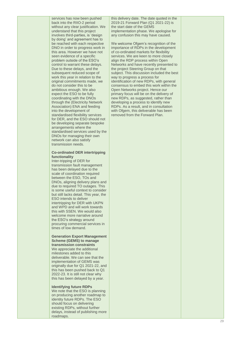services has now been pushed back into the RIIO -2 period without any clear justification. We understand that this project involves third -parties, is 'design by doing' and agreement has to be reached with each respective DNO in order to progress work in this area. However we have not seen evidence of a specific problem outside of the ESO's control to warrant these delays. Due to these delays, and the subsequent reduced scope of work this year in relation to the original commitments made, we do not consider this to be ambitious enough. We also expect the ESO to be fully coordinating with the DNOs through the (Electricity Network Association) ENA and feeding into the development of standardised flexibility services for DER, and the ESO should not be developing separate bespoke arrangements where the standardised services used by the DNOs for managing their own network can also satisfy transmission needs.

## **Co -ordinated DER intertripping functionality**

Inter-tripping of DER for transmission fault management has been delayed due to the scale of coordination required between the ESO, TOs and DNOs, aligning delivery plans and due to required TO outages. This is some useful context to consider but still lacks detail. This year, the ESO intends to deliver intertripping for DER with UKPN and WPD and will work towards this with SSEN. We would also welcome more narrative around the ESO's strategy around procuring commercial services in times of low demand.

## **Generation Export Management Scheme (GEMS) to manage**

**transmission constraints** We appreciate the additional milestones added to this deliverable. We can see that the implementation of GEMS was originally due for Q1 2021 -22, and this has been pushed back to Q1 2022 -23. It is still not clear why this has been delayed by a year.

## **Identifying future RDPs**

We note that the ESO is planning on producing another roadmap to identity future RDPs. The ESO should focus on delivering existing RDPs, without further delays, instead of publishing more roadmaps.

this delivery date. The date quoted in the 2019 -21 Forward Plan (Q1 2021 -22) is the start date of the GEMS implementation phase. We apologise for any confusion this may have caused.

We welcome Ofgem's recognition of the importance of RDPs in the development of co -ordinated markets for flexibility services. We are keen to more closely align the RDP process within Open Networks and have recently presented to the project Steering Group on that subject. This discussion included the best way to progress a process for identification of new RDPs , with general consensus to embed this work within the Open Networks project. Hence our primary focus will be on the delivery of new RDPs , as suggested , rather than developing a process to identify new RDPs. As a result, and in consultation with Ofgem, this deliverable has been removed from the Forward Plan.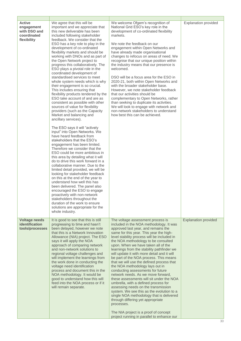| <b>Active</b><br>engagement<br>with DSO and<br>coordinated<br>flexibility | We agree that this will be<br>important and we appreciate that<br>this new deliverable has been<br>included following stakeholder<br>feedback. We consider that the<br>ESO has a key role to play in the<br>development of co-ordinated<br>flexibility markets and should be<br>working with DNOs and as part of<br>the Open Network project to<br>progress this collaboratively. The<br>ESO plays a pivotal role in the<br>coordinated development of<br>standardised services to meet<br>whole system needs which is why<br>their engagement is so crucial.<br>This includes ensuring that<br>flexibility products tendered by the<br>ESO take account of and are as<br>consistent as possible with other<br>sources of value for flexibility<br>providers (such as the Capacity<br>Market and balancing and<br>ancillary services).<br>The ESO says it will "actively<br>input" into Open Networks. We<br>have heard feedback from<br>stakeholders that the ESO's<br>engagement has been limited.<br>Therefore we consider that the<br>ESO could be more ambitious in<br>this area by detailing what it will<br>do to drive this work forward in a<br>collaborative manner. Due to the<br>limited detail provided, we will be<br>looking for stakeholder feedback<br>on this at the end of the year to<br>understand how well this has<br>been delivered. The panel also<br>encouraged the ESO to engage<br>proactively with non-network<br>stakeholders throughout the<br>duration of the work to ensure<br>solutions are appropriate for the<br>whole industry. | We welcome Ofgem's recognition of<br>National Grid ESO's key role in the<br>development of co-ordinated flexibility<br>markets.<br>We note the feedback on our<br>engagement within Open Networks and<br>have already made organisational<br>changes to refocus on areas of need. We<br>recognise that our unique position within<br>the industry means that our presence is<br>welcomed.<br>DSO will be a focus area for the ESO in<br>2020-21, both within Open Networks and<br>with the broader stakeholder base.<br>However, we note stakeholder feedback<br>that our activities should be<br>complementary to Open Networks, rather<br>than seeking to duplicate its activities.<br>We will look to engage with network and<br>non-network stakeholders to understand<br>how best this can be achieved.                                                                                                                                                | <b>Explanation provided</b> |
|---------------------------------------------------------------------------|----------------------------------------------------------------------------------------------------------------------------------------------------------------------------------------------------------------------------------------------------------------------------------------------------------------------------------------------------------------------------------------------------------------------------------------------------------------------------------------------------------------------------------------------------------------------------------------------------------------------------------------------------------------------------------------------------------------------------------------------------------------------------------------------------------------------------------------------------------------------------------------------------------------------------------------------------------------------------------------------------------------------------------------------------------------------------------------------------------------------------------------------------------------------------------------------------------------------------------------------------------------------------------------------------------------------------------------------------------------------------------------------------------------------------------------------------------------------------------------------------------------------------------------------------------------------|-------------------------------------------------------------------------------------------------------------------------------------------------------------------------------------------------------------------------------------------------------------------------------------------------------------------------------------------------------------------------------------------------------------------------------------------------------------------------------------------------------------------------------------------------------------------------------------------------------------------------------------------------------------------------------------------------------------------------------------------------------------------------------------------------------------------------------------------------------------------------------------------------------------------------------------------------------------|-----------------------------|
| <b>Voltage needs</b><br>identification<br>tools/processes                 | It is good to see that this is still<br>progressing to time and hasn't<br>been delayed, however we note<br>that this is a Network Innovation<br>Allowance (NIA) project. The ESO<br>says it will apply the NOA<br>approach of comparing network<br>and non-network solutions to<br>regional voltage challenges and<br>will implement the learnings from<br>the work done in conducting the<br>voltage need identification<br>process and document this in the<br>NOA methodology. It would be<br>good to understand how this will<br>feed into the NOA process or if it<br>will remain separate.                                                                                                                                                                                                                                                                                                                                                                                                                                                                                                                                                                                                                                                                                                                                                                                                                                                                                                                                                                     | The voltage assessment process is<br>included in the NOA methodology. It was<br>approved last year, and remains the<br>same for this year. This year the high-<br>level stability process will be included in<br>the NOA methodology to be consulted<br>upon. When we have taken all of the<br>learnings from the stability pathfinder we<br>will update it with more detail and it will<br>be part of the NOA process. This means<br>that we will use the defined process that<br>the NOA methodology lays out in<br>conducting assessments for future<br>network needs. As we move forward,<br>these assessments will sit under the NOA<br>umbrella, with a defined process for<br>assessing needs on the transmission<br>system. We see this as the evolution to a<br>single NOA methodology that is delivered<br>through differing yet appropriate<br>processes.<br>The NIA project is a proof of concept<br>project running in parallel to enhance our | <b>Explanation provided</b> |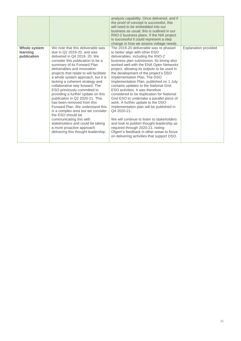|                                         |                                                                                                                                                                                                                                                                                                                                                                                                                                                                                                                                                                                                                                                                                                                                | analysis capability. Once delivered, and if<br>the proof of concept is successful, this<br>will need to be embedded into our<br>business as usual: this is outlined in our<br>RIIO-2 business plans. If the NIA project<br>is successful it could represent a step<br>change in how we assess voltage needs.                                                                                                                                                                                                                                                                                                                                                                                                                                                                                                                                                            |                             |
|-----------------------------------------|--------------------------------------------------------------------------------------------------------------------------------------------------------------------------------------------------------------------------------------------------------------------------------------------------------------------------------------------------------------------------------------------------------------------------------------------------------------------------------------------------------------------------------------------------------------------------------------------------------------------------------------------------------------------------------------------------------------------------------|-------------------------------------------------------------------------------------------------------------------------------------------------------------------------------------------------------------------------------------------------------------------------------------------------------------------------------------------------------------------------------------------------------------------------------------------------------------------------------------------------------------------------------------------------------------------------------------------------------------------------------------------------------------------------------------------------------------------------------------------------------------------------------------------------------------------------------------------------------------------------|-----------------------------|
| Whole system<br>learning<br>publication | We note that this deliverable was<br>due in Q2 2019-20, and was<br>delivered in Q4 2019-20. We<br>consider this publication to be a<br>summary of its Forward Plan<br>deliverables and innovation<br>projects that relate to will facilitate<br>a whole system approach, but it is<br>lacking a coherent strategy and<br>collaborative way forward. The<br>ESO previously committed to<br>providing a further update on this<br>publication in Q2 2020-21. This<br>has been removed from this<br>Forward Plan. We understand this<br>is a complex area but we consider<br>the ESO should be<br>communicating this with<br>stakeholders and could be taking<br>a more proactive approach<br>delivering this thought leadership. | The 2019-20 deliverable was re-phased<br>to better align with other ESO<br>deliverables, including the RIIO-2<br>business plan submission. Its timing also<br>worked well with the ENA Open Networks<br>project, allowing its outputs to be used in<br>the development of the project's DSO<br>Implementation Plan. The DSO<br>Implementation Plan, published on 1 July<br>contains updates to the National Grid<br>ESO activities. It was therefore<br>considered to be duplication for National<br>Grid ESO to undertake a parallel piece of<br>work. A further update to the DSO<br>implementation plan will be published in<br>Q4 2020-21.<br>We will continue to listen to stakeholders<br>and look to publish thought leadership as<br>required through 2020-21, noting<br>Ofgem's feedback in other areas to focus<br>on delivering activities that support DSO. | <b>Explanation provided</b> |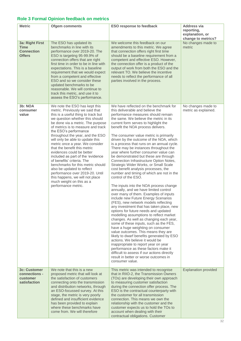## <span id="page-31-0"></span>**Role 3 Formal Opinion feedback on metrics**

| <b>Metric</b>                                                        | <b>Ofgem comments</b>                                                                                                                                                                                                                                                                                                                                                                                                                                                                                                                                                                                                                                                                 | <b>ESO response to feedback</b>                                                                                                                                                                                                                                                                                                                                                                                                                                                                                                                                                                                                                                                                                                                                                                                                                                                                                                                                                                                                                                                                                                                                                                                                                                                                                                                                                                                                                                                             | <b>Address via</b><br>reporting,<br>explanation, or<br>change to metrics? |
|----------------------------------------------------------------------|---------------------------------------------------------------------------------------------------------------------------------------------------------------------------------------------------------------------------------------------------------------------------------------------------------------------------------------------------------------------------------------------------------------------------------------------------------------------------------------------------------------------------------------------------------------------------------------------------------------------------------------------------------------------------------------|---------------------------------------------------------------------------------------------------------------------------------------------------------------------------------------------------------------------------------------------------------------------------------------------------------------------------------------------------------------------------------------------------------------------------------------------------------------------------------------------------------------------------------------------------------------------------------------------------------------------------------------------------------------------------------------------------------------------------------------------------------------------------------------------------------------------------------------------------------------------------------------------------------------------------------------------------------------------------------------------------------------------------------------------------------------------------------------------------------------------------------------------------------------------------------------------------------------------------------------------------------------------------------------------------------------------------------------------------------------------------------------------------------------------------------------------------------------------------------------------|---------------------------------------------------------------------------|
| 3a: Right First<br><b>Time</b><br><b>Connection</b><br><b>Offers</b> | The ESO has updated its<br>benchmarks in line with its<br>performance over 2019-20. The<br>ESO is targeting 95-99.9% of<br>connection offers that are right<br>first time in order to be in line with<br>expectations. This is a baseline<br>requirement that we would expect<br>from a competent and effective<br>ESO and so we consider these<br>updated benchmarks to be<br>reasonable. We will continue to<br>track this metric, and use it to<br>assess the ESO's performance.                                                                                                                                                                                                   | We welcome this feedback on our<br>amendments to this metric. We agree<br>that connection offers right first time<br>should be a baseline requirement from a<br>competent and effective ESO. However,<br>the connection offer is a product of the<br>output of work from both the ESO and the<br>relevant TO. We believe the incentive<br>needs to reflect the performance of all<br>parties involved in the process.                                                                                                                                                                                                                                                                                                                                                                                                                                                                                                                                                                                                                                                                                                                                                                                                                                                                                                                                                                                                                                                                       | No changes made to<br>metric                                              |
| 3b: NOA<br>consumer<br>value                                         | We note the ESO has kept this<br>metric. Previously we said that<br>this is a useful thing to track but<br>we question whether this should<br>be done via a metric. The purpose<br>of metrics is to measure and track<br>the ESO's performance<br>throughout the year, and the ESO<br>will only be able to update this<br>metric once a year. We consider<br>that the benefit this metric<br>evidences could be better<br>included as part of the 'evidence<br>of benefits' criteria. The<br>benchmarks for this metric should<br>also be updated to reflect<br>performance over 2019-20. Until<br>this happens, we will not place<br>much weight on this as a<br>performance metric. | We have reflected on the benchmark for<br>this deliverable and believe the<br>performance measures should remain<br>the same. We believe the metric in its<br>current form serves to highlight the<br>benefit the NOA process delivers.<br>The consumer value metric is primarily<br>driven by the outcome of the NOA, which<br>is a process that runs on an annual cycle.<br>There may be instances throughout the<br>year where further consumer value can<br>be demonstrated but these are through<br>Connection Infrastructure Option Notes,<br>Strategic Wider Works, or Small Scale<br>cost benefit analysis processes, the<br>number and timing of which are not in the<br>control of the ESO.<br>The inputs into the NOA process change<br>annually, and we have limited control<br>over many of them. Examples of inputs<br>include new Future Energy Scenarios<br>(FES), new network models reflecting<br>any investment that has taken place, new<br>options for future needs and updated<br>modelling assumptions to reflect market<br>changes. As well as changing each year,<br>some of these inputs, such as the FES,<br>have a huge weighting on consumer<br>value outcomes. This means they are<br>likely to dwarf benefits generated by ESO<br>actions. We believe it would be<br>inappropriate to report year on year<br>performance as these factors make it<br>difficult to assess if our actions directly<br>result in better or worse outcomes in<br>consumer value. | No changes made to<br>metric as explained.                                |
| <b>3c: Customer</b><br>connections -<br>customer<br>satisfaction     | We note that this is a new<br>proposed metric that will look at<br>the satisfaction of customers<br>connecting onto the transmission<br>and distribution networks, through<br>an ESO-focussed survey. At this<br>stage, the metric is very poorly<br>defined and insufficient evidence<br>has been provided to explain<br>where these benchmarks have<br>come from. We will therefore                                                                                                                                                                                                                                                                                                 | This metric was intended to recognise<br>that in RIIO-2, the Transmission Owners<br>(TOs) are developing their own approach<br>to measuring customer satisfaction<br>during the connection offer process. The<br>ESO is the contractual counterparty with<br>the customer for all transmission<br>connection. This means we own the<br>relationship with the customer and the<br>customer expects us to hold the TOs to<br>account when dealing with their<br>contractual obligations. Customer                                                                                                                                                                                                                                                                                                                                                                                                                                                                                                                                                                                                                                                                                                                                                                                                                                                                                                                                                                                             | <b>Explanation provided</b>                                               |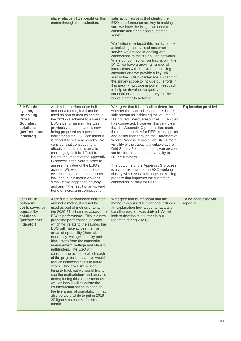|                                                                                                                        | place relatively little weight on this<br>metric through the evaluation.                                                                                                                                                                                                                                                                                                                                                                                                                                                                                                                                                                                                                                                                                                                                                                                                                                                                           | satisfaction surveys that identify the<br>ESO's performance are key to making<br>sure we have the insight we need to<br>continue delivering good customer<br>service.<br>We further developed this metric to look<br>at including the levels of customer<br>service we provide in dealing with<br>connections to the distribution networks.<br>While our connection contract is with the<br>DNO, we have a growing number of<br>interactions with the DNO connecting<br>customer and we provide a key link<br>across the TO/DNO interface. Expanding<br>the survey scope to include our efforts in<br>this area will provide important feedback<br>to help us develop the quality of the<br>connections customer journey for the<br>whole electricity network. |                                  |
|------------------------------------------------------------------------------------------------------------------------|----------------------------------------------------------------------------------------------------------------------------------------------------------------------------------------------------------------------------------------------------------------------------------------------------------------------------------------------------------------------------------------------------------------------------------------------------------------------------------------------------------------------------------------------------------------------------------------------------------------------------------------------------------------------------------------------------------------------------------------------------------------------------------------------------------------------------------------------------------------------------------------------------------------------------------------------------|----------------------------------------------------------------------------------------------------------------------------------------------------------------------------------------------------------------------------------------------------------------------------------------------------------------------------------------------------------------------------------------------------------------------------------------------------------------------------------------------------------------------------------------------------------------------------------------------------------------------------------------------------------------------------------------------------------------------------------------------------------------|----------------------------------|
| 3d: Whole<br>system,<br><b>Unlocking</b><br><b>Cross</b><br><b>Boundary</b><br>solutions<br>(performance<br>indicator) | As this is a performance indicator<br>and not a metric, it will not be<br>used as part of metrics criteria in<br>the 2020-21 scheme to assess the<br>ESO's performance. This was<br>previously a metric, and is now<br>being proposed as a performance<br>indicator as the ESO considers it<br>is difficult to set benchmarks. We<br>consider that constructing an<br>effective metric in this area is<br>challenging as it is difficult to<br>isolate the impact of the Appendix<br>G process effectively in order to<br>assess the value of the ESO's<br>actions. We would need to see<br>evidence that these connections<br>included in this metric wouldn't<br>simply have happened anyway<br>and aren't the result of an upward<br>trend of increasing connections.                                                                                                                                                                           | We agree that it is difficult to determine<br>whether the Appendix G process is the<br>sole reason for achieving the volume of<br>Distributed Energy Resources (DER) that<br>has connected. However, it is very clear<br>that the Appendix G process has made<br>the route to market for DER much quicker<br>and easier than through the Statement of<br>Works Process. It has given DNOs more<br>visibility of the capacity available at their<br>Grid Supply Points and has given greater<br>control for release of that capacity to<br>DER customers.<br>The outcome of the Appendix G process<br>is a clear example of the ESO working<br>closely with DNOs to change an existing<br>process that improves the customer<br>connection journey for DER.     | Explanation provided.            |
| <b>3e: Future</b><br>balancing<br>costs saved by<br>operability<br><b>solutions</b><br>(performance<br>indicator)      | As this is a performance indicator<br>and not a metric, it will not be<br>used as part of metrics criteria in<br>the 2020-21 scheme to assess the<br>ESO's performance. This is a new<br>proposed performance indicator,<br>which will relate to the savings the<br>ESO will make across the five<br>areas of operability (thermal,<br>frequency, voltage, stability and<br>black start) from the constraint<br>management, voltage and stability<br>pathfinders. The ESO will<br>consider the extent to which each<br>of the projects listed above would<br>reduce balancing costs in future<br>years. This looks like a useful<br>thing to track but we would like to<br>see the methodology and analysis<br>underpinning this assessment as<br>well as how it will calculate the<br>counterfactual spend in each of<br>the five areas of operability. It may<br>also be worthwhile to put in 2019-<br>20 figures as context for this<br>metric. | We agree that is important that the<br>methodology used is clear and includes<br>an explanation how a counterfactual or<br>baseline position was derived. We will<br>look to develop this further in our<br>reporting during 2020-21.                                                                                                                                                                                                                                                                                                                                                                                                                                                                                                                          | To be addressed via<br>reporting |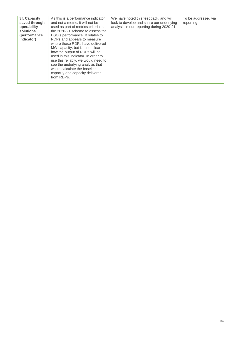| 3f: Capacity<br>saved through<br>operability<br>solutions<br>(performance)<br>indicator) | As this is a performance indicator<br>and not a metric, it will not be<br>used as part of metrics criteria in<br>the 2020-21 scheme to assess the<br>ESO's performance. It relates to<br>RDPs and appears to measure<br>where these RDPs have delivered<br>MW capacity, but it is not clear<br>how the output of RDPs will be<br>used in this indicator. In order to<br>use this reliably, we would need to<br>see the underlying analysis that<br>would calculate the baseline<br>capacity and capacity delivered<br>from RDPs. | We have noted this feedback, and will<br>look to develop and share our underlying<br>analysis in our reporting during 2020-21. | To be addressed via<br>reporting |
|------------------------------------------------------------------------------------------|----------------------------------------------------------------------------------------------------------------------------------------------------------------------------------------------------------------------------------------------------------------------------------------------------------------------------------------------------------------------------------------------------------------------------------------------------------------------------------------------------------------------------------|--------------------------------------------------------------------------------------------------------------------------------|----------------------------------|
|------------------------------------------------------------------------------------------|----------------------------------------------------------------------------------------------------------------------------------------------------------------------------------------------------------------------------------------------------------------------------------------------------------------------------------------------------------------------------------------------------------------------------------------------------------------------------------------------------------------------------------|--------------------------------------------------------------------------------------------------------------------------------|----------------------------------|